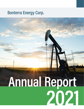# **Bonterra Energy Corp.**

# **Annual Report** 2021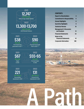# **12,747** BOE PER DAY **2021 average annual volumes** 2021 **13,300-13,700** 2022

BOE PER DAY **2022 forecast volumes**

2021 **\$38**

MILLION **Free Funds Flow generated in 2021(1,2)**

# 2022 **\$90** MILLION

**Forecast Free Funds Flow in 2022(1,2,3)**

**\$55-65**

2022

MILLION **Forecast Capex in 2022**

**\$67** MILLION **Capex in 2021** 2021

**221 Successfully abandoned in 2021** 2021

**131** NET WELLS **Forecast to be abandoned in 2022** 2022

#### **CONTENTS**

| <b>Report to Shareholders</b>                  | 4   |
|------------------------------------------------|-----|
| <b>Commitment to Responsibility</b>            | 6   |
| <b>Annual Highlights</b>                       | 8   |
| <b>Quarterly Highlights</b>                    | 9   |
| <b>Statistical Review</b>                      | 10  |
| <b>Management's Discussion</b><br>and Analysis | 14  |
| <b>Financial Statements</b>                    | 33  |
| Notes to the<br><b>Financial Statements</b>    | 41  |
| <b>Corporate Information</b>                   | IBC |

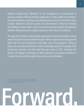Bonterra Energy Corp. ("Bonterra" or the "Company") is a conventional oil and gas company offering investors exposure to a high-quality and Cardiumfocused asset base, a strategy of sustainable growth and commitment to value creation. Bonterra's Cardium assets are concentrated in Alberta's Pembina and Willesden Green fields, which are among Canada's largest conventional oilfields, offering long-term stable production with attractive netbacks.

Through 2021, Bonterra substantially improved our financial flexibility and we remain focused on balance sheet strength. With an experienced management team, low-risk and low-decline asset base, and strong torque to rising oil prices, we are well positioned to realize meaningful growth in average daily production, reserves, and free funds flow per share in 2022. Achieving this growth will support continued net debt reduction and position Bonterra to consider future potential capital returns for our shareholders.

- (1) Non-IFRS financial measure. See advisories later in this report.
- (2) Free funds flow calculated as funds flow after capital expenditures.
- (3) Assuming US\$70 WTI in 2022.

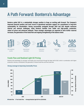# **A Path Forward: Bonterra's Advantage**

**Bonterra exited 2021 in a substantially stronger position to forge an exciting path forward. The Company's improved financial position and track record of operational execution support our commitment to long‐term sustainability for shareholders. Having successfully navigated through 2020 and 2021 despite numerous internal and external challenges, today Bonterra benefits from stable and high-quality production, robust oil prices and enhanced netbacks. These strategic advantages are expected to drive further reserves increases, the generation of free funds flow and ongoing strengthening of the balance sheet.**



## **Funds Flow and Realized Light Oil Pricing**

Bonterra took advantage of a stronger commodity price environment through the latter half of 2021, which in combination with higher production volumes, contributed to the generation of robust funds flow and free funds flow.



#### **Strong Leverage to Improving Commodity Prices**

■ **Funds Flow** ■ Free Funds Flow — Average Realized Light Oil Price (\$CAD/bbl)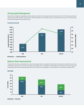# **Strong Capital Management**

Bonterra has strategically managed production levels to optimize value through cyclical pricing environments. The Company preserved capital during market volatility caused by the COVID-19 pandemic, and elected to grow our production volumes into a strong pricing environment through the second half of 2021.

#### **Production Growth**



# **Balance Sheet Improvements**

Through 2021, Bonterra successfully drove down key leverage metrics, increased free funds flow and improved our debt structure. A key achievement during the year was the successful restructuring of our outstanding credit facilities, which served to enhance long-term sustainability and reduce overall bank debt. By the end of 2022, we are targeting a ~33% reduction in net debt (assuming \$70 WTI).



#### **Net Debt**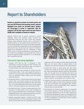# **Report to Shareholders**

**Bonterra is pleased to present our fourth quarter and year-end 2021 financial and operating results, selected highlights from which are provided below. Readers are encouraged to review in conjunction with the Company's full Q4 2021 report which has been filed on SEDAR and is available on Bonterra's website.**

Although COVID-19 and its variants continued to present challenges during 2021, Bonterra posted numerous key achievements during the year. With a sound and consistent strategy, strong operational execution and a commitment to financial prudence, we successfully returned production to pre-COVID-19 levels, abandoned more than 221 net wells, renegotiated our bank credit facilities, substantially reduced outstanding bank debt year-over-year, and garnered clear support for Bonterra's strategy from shareholders. With the combination of these efforts, and the continued strengthening of commodity prices, the Company has established a strong position from which to pursue the ongoing profitable development of our high-quality, light oil weighted asset base.

# **Financial & Operating Highlights**

- Averaged 12,747 BOE per day<sup>(1)</sup> of production in 2021, representing a 21 percent increase over 2020. Volumes in the fourth quarter averaged 13,810 BOE per day<sup>(2)</sup>, an increase of 37 percent relative to the same period in 2020.
- Realized oil and gas sales increased 107 percent over 2020 to total \$251.6 million in 2021, and increased 149 percent in Q4 2021 over the same period in 2020 with increases primarily driven by significantly higher realized prices and growing production volumes.
- Generated funds flow<sup>(3)</sup> of \$104.8 million (\$3.02 per fully diluted share) in 2021, a 277 percent increase over the \$27.8 million (\$0.83 per fully diluted share) generated in 2020, while funds flow(3) in Q4 2021 totaled \$36.5 million (\$1.03 per fully diluted share) or 1,252 percent higher than the same period in 2020.
- Generated funds flow<sup>(3)</sup> in excess of capital expenditures ("free funds flow"(3)) of \$37.6 million in 2021, which is budgeted to grow to approximately \$90 million in 2022 based on increased budgeted production, lower capital spending and an improved pricing environment compared to the previous year.
- Realized average field netbacks<sup>(3)</sup> of \$29.62 per BOE in 2021 and \$34.46 per BOE in Q4 2021, representing increases of 106 percent and 142 percent over the comparative periods of 2020,



respectively, with the increases primarily reflecting significantly higher per unit revenue offset by realized losses on risk management contracts and increased per unit royalty expenses.

- Invested \$67.3 million in capital during 2021, \$17.6 million of which was invested in the fourth quarter. Approximately \$51.1 million was directed to drilling 37 gross (35.4 net) operated wells, with 35 gross (33.2 net) operated wells tied-in and placed on production during the year. Bonterra's operational performance drove a six percent improvement in per well drilling, completion, and equipping costs compared to 2020.
- Achieved a 35 percent reduction in bank debt at year end 2021 to \$163 million, largely as a result of the Company's increased funds flow and improved and recapitalized debt structure, while net debt<sup>(3)</sup> at year end totaled \$267 million, reflecting a 15 percent year-over-year decrease.
- Demonstrated the Company's ongoing focus on responsible environmental initiatives in 2021 by directing \$4.5 million to the successful abandonment of 221 net wells, supported by the Alberta Site Rehabilitation Program, and issuing Bonterra's inaugural environmental, social and governance ("ESG") report. For 2022, an additional 131 net wells with no further potential are targeted for abandonment.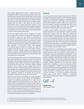The Company deployed \$67.3 million in capital during 2021, including \$17.6 million in the fourth quarter, a portion of which was directed to drill six gross (6.0 net) operated wells. Those six wells were completed, equipped and brought on production during the first quarter of 2022, and during this period, Bonterra has also drilled six gross operated (5.8 net) wells and completed 11 gross operated (10.8 net) wells. In total during the year, Bonterra invested \$67.3 million in capital expenditures, coming in at the lower end of our annual capital expenditure budget, partially due to achieving a six percent reduction per well drilling, completion, and equipping costs compared to the prior year and deferring the completion of the six wells outlined above.

Of the total capital invested by the Company, 76 percent was allocated to drill 37 gross (35.4 net) operated wells along with the completion, equip, tie-in and placing on production of 35 gross (33.2 net) operated wells, four of which were drilled late in 2020. Approximately 24 percent was directed to related infrastructure, recompletions and non-operated capital programs. With these capital expenditures, Bonterra successfully returned 2021 production to pre-COVID-19 levels, which averaged 12,747 BOE per day, an increase of 21 percent over 2020, and averaged 13,810 BOE per day in the fourth quarter. Bonterra intends to continue investing capital for incremental growth initiatives to support increased free funds flow $(4)$  generation that can be allocated to further reductions in outstanding bank debt and balance sheet improvements.

As prices improved through the latter half of 2021, Bonterra was able to take advantage of a stronger price environment, which in combination with the higher production volumes, contributed to the generation of \$104.8 million of funds flow<sup>(3)</sup>, and \$37.6 million of free funds flow during the year. In Q4 2021, Bonterra realized average oil prices of \$85.04 per bbl, average NGL prices of \$54.54 per bbl, and average natural gas prices of \$4.93 per mcf. With stronger prices and higher revenues, the Company's Q4 2021 field and cash netbacks averaged \$34.46 per BOE and \$28.72 per BOE, respectively, increases of 142 percent and 901 percent, respectively, compared to the same period in the prior year.

Bonterra's commitment to responsibility was evident throughout 2021, and with support from the Alberta Site Rehabilitation Program, we successfully abandoned 221 net wells, 203 net pipeline segments and decommissioned 3 net battery sites. Bonterra plans to allocate between \$4 million and \$5 million in 2022 to abandon an additional 131 net wells, and by the end of the year, we expect that our abandonment and reclamation activity will represent approximately 60 percent of all wells that have no further economic potential identified. Bonterra will continue to review our inactive well inventory to identify additional well bores that should be reactivated, repurposed, or abandoned.

## **Outlook**

As the Company's production volumes are above pre-COVID-19 levels, Bonterra is pleased to reaffirm our 2022 production guidance of 13,300 to 13,700 BOE per day based on a capital expenditure budget range of \$55 million to \$65 million. This would represent year-over-year production growth in 2022 of 4 to 7 percent, and would be expected to generate an estimated \$90 million of free funds flow<sup>(3)</sup> (assuming US\$70 WTI price) and contribute to significantly improved leverage metrics by year end 2022.

To further support stability while facing continued market volatility, and as part of our ongoing efforts to diversify commodity pricing and to protect future cash flows, the Company has executed physical delivery sales and risk management contracts to the end of 2022 on approximately 30 percent of our expected crude oil and natural gas production. For 2022, Bonterra has secured a WTI price between \$48.00 USD to \$92.10 USD per bbl on 2,460 bbls per day, with a WTI to Edmonton par differential average of approximately \$6.00 on 1,663 bbls per day. In addition, we have secured a natural gas price between \$2.00 to \$4.15 on 11,301 GJ per day for the next twelve months.

Bonterra exited 2021 in a substantially stronger position to forge an exciting path forward. The Company's improved financial position and track record of operational execution support our commitment to long‐term sustainability for shareholders. Having successfully navigated through 2020 and 2021 despite numerous external challenges, today Bonterra benefits from stable and high-quality production, robust oil prices and enhanced netbacks. These strategic advantages are expected to drive further reserves increases, continued generation of free funds flow, ongoing balance sheet strengthening in 2022 and an eventual return of capital to shareholders. In addition, the Company is integrating further ESG initiatives across the organization and looks forward to reporting on progress to shareholders going forward. Bonterra remains committed to employing local services, being a key economic contributor to rural and surrounding communities located within central Alberta, upholding a responsible abandonment and reclamation program, and maintaining rigorous safety measures.

**George F. Fink** Chief Executive Officer

(1) 2021 volumes comprised of 7,204 bbl/d light and medium crude oil, 1,013 bbl/d NGLs and 27,176 mcf/d of conventional natural gas.

(3) Non-IFRS measure. See advisories later in this report.

<sup>(2)</sup> Q4 2021 volumes comprised of 7,659 bbl/d light and medium crude oil, 1,105 bbl/d NGLs and 30,276 mcf/d of conventional natural gas.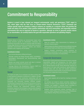# **Commitment to Responsibility**

**Bonterra is proud to have released our inaugural environmental, social, and governance ("ESG") report in 2021, which aligns with the Task Force on Climate-related Financial Disclosures ("TCFD") framework and outlines specific steps the Company is taking to enhance our standing as a corporate citizen. We prioritize the health and safety of our workers, foster positive relationships with local communities, and responsibly maintain environments that may be impacted by Bonterra's operations. Although we strive to generate positive returns for our shareholders, we carefully balance this goal with responsible operations and upholding integrity.** 

## **Environment**

Bonterra strives to minimize our environmental impact while driving economic growth for shareholders, employees, and partnering communities. We seek to minimize waste and reduce energy usage. Bonterra is proud to consistently meet or exceed all applicable environmental regulations, statutes, and industry standards while mitigating risk and liability.

#### **Commitments in Action:**

- Use minimal disturbance drilling techniques;
- Eliminate venting and flaring through facility consolidation, technological improvements and decommissioning older infrastructure;
- Monitor and protect animals around well sites to minimize impact on surrounding flora and fauna; and
- Leverage Alberta's Site Rehabilitation Program ("SRP") for continued abandonment and reclamation efforts.

## **Social**

The health and safety of our employees and others working with or near Bonterra's operations is paramount. In addition, we seek to establish positive and constructive relationships with our partnering communities. Bonterra strives to engage and hire local businesses and community members wherever possible. Contributing to the general well-being and improvement of towns, cities, and regions in the vicinity of our operations is a priority of Bonterra. Bonterra has implemented extensive policies, procedures, equipment and emergency response plans designed to ensure the health and well-being of our staff, contractors and the general public.

#### **Commitments in Action:**

- Strive for constant safety improvements by deploying an education-based program;
- Adhere closely to the Alberta, Saskatchewan and British Columbia Occupational Health and Safety Acts and WorkSafeBC; and
- Support Canada's conventional energy producers by maintaining membership in, and involvement with, Explorers and Producers Association of Canada (EPAC).

## **Corporate Governance**

Bonterra has a robust governance framework to ensure corporate responsibility, integrity and transparency. Our board refresh continued in 2021 with the appointment of two new members, Mr. D. Michael Stewart and Ms. Stacey McDonald, reducing our board tenure to 6.1 years while ensuring an optimal balance of corporate history with new ideas and valuable perspectives. Currently, Bonterra's board includes 33 percent female members, and 100 percent independent board committees.

#### **Commitments in Action:**

- Board meets regularly with at least four meetings scheduled per year;
- All members are invited to attend committee meetings as observers, to hold in-camera sessions with only independent members, and establish a separate Board committee to oversee ESG and Health, Safety & Environment; and
- Establish strong governance policies including Code of Conduct, Insider Trading and Disclosure Policy, Whistleblower Policy, Majority Voting Policy and a Diversity Policy.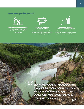# **Bonterra's Responsible Approach**



#### Alleviating abandonment obligations

Applications to Alberta's SRP resulted in \$5.9 million of abandonment obligation relief for Bonterra.



#### Incorporating reclamation spending into budgets

Bonterra's 2021 budget included \$4.5 million directed to abandoning 221 wells with no further economic potential throughout the year.



#### Abandonment of wells far outpacing well count growth rate

Exponential increases in Bonterra's well abandonment relative to total well count further emphasizes commitment to ESG initiatives.

*Bonterra is committed to transparency, accountability and providing a safe work environment while employing practices and procedures that meet or exceed all regulatory requirements.*  555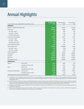# **Annual Highlights**

|                                                              | As at and for the year ended (\$000s except \$ per share) | December 31,<br>2021 | December 31,<br>2020 | December 31,<br>2019 |
|--------------------------------------------------------------|-----------------------------------------------------------|----------------------|----------------------|----------------------|
| <b>FINANCIAL</b>                                             |                                                           |                      |                      |                      |
| Revenue - realized oil and gas sales                         |                                                           | 251,616              | 121,642              | 202,749              |
| Funds flow <sup>(1)</sup>                                    |                                                           | 104,843              | 27,789               | 96,261               |
| Per share - basic                                            |                                                           | 3.11                 | 0.83                 | 2.88                 |
| Per share - diluted                                          |                                                           | 3.02                 | 0.83                 | 2.88                 |
| Dividend payout ratio                                        |                                                           | 0%                   | 4%                   | 4%                   |
| Cash flow from operations                                    |                                                           | 96,103               | 32,073               | 81,132               |
| Per share - basic                                            |                                                           | 2.85                 | 0.96                 | 2.43                 |
| Per share - diluted                                          |                                                           | 2.76                 | 0.96                 | 2.43                 |
| Dividend payout ratio                                        |                                                           | 0%                   | 3%                   | 5%                   |
| Cash dividends per share                                     |                                                           | 0.00                 | 0.03                 | 0.12                 |
| Net earnings (loss) <sup>(2)</sup>                           |                                                           | 179,299              | (306, 889)           | 21,923               |
| Per share - basic                                            |                                                           | 5.32                 | (9.19)               | 0.66                 |
| Per share - diluted                                          |                                                           | 5.16                 | (9.19)               | 0.66                 |
| Capital expenditures                                         |                                                           | 67,282               | 43,728               | 53,627               |
| <b>Total assets</b>                                          |                                                           | 945,721              | 731,859              | 1,087,817            |
| Net debt <sup>(3)</sup>                                      |                                                           | 267,179              | 315,573              | 292,810              |
| Bank debt                                                    |                                                           | 162,945              | 252,255              | 273,065              |
| Shareholders' equity                                         |                                                           | 392,019              | 196,633              | 503,949              |
| <b>OPERATIONS</b>                                            |                                                           |                      |                      |                      |
| Light oil                                                    | - bbl per day                                             | 7,204                | 5,832                | 7,310                |
|                                                              | - average price (\$ per bbl)                              | 74.53                | 44.31                | 66.34                |
| <b>NGLs</b>                                                  | - bbl per day                                             | 1,013                | 1,032                | 986                  |
|                                                              | - average price (\$ per bbl)                              | 43.86                | 18.65                | 25.83                |
| Conventional natural gas                                     | - MCF per day                                             | 27,176               | 22,268               | 24,053               |
|                                                              | - average price (\$ per MCF)                              | 3.97                 | 2.46                 | 1.87                 |
| Total barrels of oil equivalent per day (BOE) <sup>(4)</sup> |                                                           | 12,747               | 10,575               | 12,305               |

(1) Funds flow is not a recognized measure under IFRS. For these purposes, the Company defines funds flow as funds provided by operations including proceeds from sale of investments and investment income received excluding the effects of changes in non-cash working capital items and decommissioning expenditures settled.

(2) In the first quarter of 2020 the Company recorded a \$331,678,000 impairment provision less a \$54,107,000 deferred income tax recovery related to its Alberta CGU's oil and gas assets due to the impact of COVID-19 effect on the forward benchmark prices for crude oil. With stronger forward prices in Q2 2021, the Company recorded a \$203,197,000 impairment reversal on its Alberta CGU's oil and gas assets less \$47,149,000 deferred income tax expense.

(3) Net debt is not a recognized measure under IFRS. The Company defines net debt as current liabilities less current assets plus long-term subordinated debt and subordinated debentures.

(4) BOE may be misleading, particularly if used in isolation. A BOE conversion ratio of 6 MCF: 1 bbl is based on an energy conversion method primarily applicable at the burner tip and does not represent a value equivalency at the wellhead.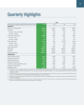# **Quarterly Highlights**

|                                                              | 2021           |                |                |                |  |  |
|--------------------------------------------------------------|----------------|----------------|----------------|----------------|--|--|
| As at and for the periods ended (\$000s except \$ per share) | Q <sub>4</sub> | Q <sub>3</sub> | Q <sub>2</sub> | Q <sub>1</sub> |  |  |
| <b>FINANCIAL</b>                                             |                |                |                |                |  |  |
| Revenue - oil and gas sales                                  | 79,202         | 64,457         | 59,163         | 48,794         |  |  |
| Funds flow <sup>(1)</sup>                                    | 36,488         | 28,658         | 23,105         | 16,592         |  |  |
| Per share - basic and diluted                                | 1.07           | 0.85           | 0.69           | 0.50           |  |  |
| Per share - diluted                                          | 1.03           | 0.83           | 0.67           | 0.49           |  |  |
| Cash flow from operations                                    | 37,868         | 24,616         | 18,874         | 14,745         |  |  |
| Per share - basic                                            | 1.11           | 0.73           | 0.56           | 0.44           |  |  |
| Per share - diluted                                          | 1.07           | 0.71           | 0.55           | 0.43           |  |  |
| Net earnings (loss)                                          | 16,333         | 7,296          | 157,354(2)     | (1,684)        |  |  |
| Per share - basic                                            | 0.48           | 0.22           | 4.68           | (0.05)         |  |  |
| Per share - diluted                                          | 0.46           | 0.21           | 4.55           | (0.05)         |  |  |
| Capital expenditures                                         | 17,636         | 18,578         | 7,607          | 23,461         |  |  |
| <b>Total assets</b>                                          | 945,721        | 939,835        | 948,260        | 748,543        |  |  |
| Net debt <sup>(3)</sup>                                      | 267,179        | 307,729        | 319,310        | 328,506        |  |  |
| Shareholders' equity                                         | 392,019        | 361,590        | 353,431        | 195,393        |  |  |
| <b>OPERATIONS</b>                                            |                |                |                |                |  |  |
| Light oil (barrels per day)                                  | 7,659          | 6,948          | 7,370          | 6,834          |  |  |
| Average price (\$ per bbl)                                   | 85.04          | 78.42          | 71.49          | 61.76          |  |  |
| NGLs (barrels per day)                                       | 1,105          | 928            | 996            | 1,025          |  |  |
| Average price (\$ per bbl)                                   | 54.54          | 48.86          | 35.59          | 35.60          |  |  |
| Conventional natural gas (MCF per day)                       | 30,276         | 27,995         | 26,057         | 24,301         |  |  |
| Average price (\$ per MCF)                                   | 4.93           | 3.94           | 3.37           | 3.44           |  |  |
| Total BOE per day <sup>(4)</sup>                             | 13,810         | 12,542         | 12,709         | 11,909         |  |  |

(1) Funds flow is not a recognized measure under IFRS. For these purposes, the Company defines funds flow as funds provided by operations including proceeds from sale of investments and investment income received excluding the effects of changes in non-cash working capital items and decommissioning expenditures settled.

(2) In Q2 2021, with stronger forward benchmark prices since the impact of COVID-19 beginning in March 2020, the Company recorded a \$203,197,000 impairment reversal on its Alberta CGU's oil and gas assets less \$47,149,000 deferred income tax expense.

(3) Net debt is not a recognized measure under IFRS. The Company defines net debt as current liabilities less current assets plus long-term subordinated debt and subordinated debentures.

(4) BOE may be misleading, particularly if used in isolation. A BOE conversion ratio of 6 MCF: 1 bbl is based on an energy conversion method primarily applicable at the burner tip and does not represent a value equivalency at the wellhead.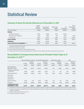# **Statistical Review**

# **Summary of Gross Oil and Gas Reserves as of December 31, 2021**

|                                            | Light &<br>Medium<br>Crude Oil | Conventional<br>Natural Gas | Natural Gas<br>Liguids | Oil<br>Equivalent <sup>(4)</sup> | Future<br>Development<br>Capital |
|--------------------------------------------|--------------------------------|-----------------------------|------------------------|----------------------------------|----------------------------------|
| Reserves Category                          | (Mbb)                          | (MMCF)                      | (Mbb)                  | (MBOE)                           | (\$000s)                         |
| <b>PROVED</b>                              |                                |                             |                        |                                  |                                  |
| Developed Producing                        | 18,522                         | 67,490                      | 2.725                  | 32,495                           |                                  |
| Developed Non-Producing                    | 2,335                          | 5,990                       | 229                    | 3,562                            | 6,793                            |
| Undeveloped                                | 22,613                         | 93,315                      | 4,008                  | 42,174                           | 547,378                          |
| <b>TOTAL PROVED</b>                        | 43,470                         | 166,795                     | 6,962                  | 78,231                           | 554,171                          |
| <b>PROBABLE</b>                            | 10,760                         | 40,478                      | 1,694                  | 19,200                           |                                  |
| <b>TOTAL PROVED PLUS PROBABLE(1)(2)(3)</b> | 54,231                         | 207,273                     | 8,655                  | 97,431                           | 554,171                          |

(1) Reserves have been presented on gross basis which are the Company's total working interest share before the deduction of any royalties and without including any royalty interests of the Company.

(2) Totals may not add due to rounding.

(3) Based on Sproule's December 31, 2021 escalated price deck.

(4) Oil equivalent amounts have been calculated using a conversion rate of six thousand cubic feet of natural gas to one barrel of oil.

# **Reconciliation of Company Gross Reserves by Principle Product Type as of December 31, 2021(1)(2)**

|                                                        | Light and Medium Crude Oil |                          | <b>Conventional Natural Gas</b> |                      | Natural Gas Liquids |                          | Total   |                      |
|--------------------------------------------------------|----------------------------|--------------------------|---------------------------------|----------------------|---------------------|--------------------------|---------|----------------------|
|                                                        | Proved                     | $Proved +$<br>Probable   | Proved                          | Proved +<br>Probable | Proved              | Proved +<br>Probable     | Proved  | Proved +<br>Probable |
|                                                        | (Mbb)                      | (Mbb)                    | (MMCF)                          | (MMCF)               | (Mbb)               | (Mbbl)                   | (MBOE)  | (MBOE)               |
| Opening Balance<br>December 31, 2020                   | 43,067                     | 53,729                   | 150,476                         | 187,462              | 7,172               | 8,938                    | 75,319  | 93,910               |
| Extensions & Improved<br>Recovery <sup>(2)</sup>       | 3,856                      | 4,823                    | 15,621                          | 19,510               | 731                 | 914                      | 7,191   | 8,989                |
| <b>Technical Revisions</b>                             | (2,858)                    | (3,833)                  | 3,945                           | 3,736                | (848)               | (1,100)                  | (3,048) | (4,310)              |
| <b>Discoveries</b>                                     |                            |                          |                                 |                      |                     |                          |         |                      |
| Acquisitions                                           |                            | $\overline{\phantom{a}}$ |                                 |                      |                     |                          |         |                      |
| Dispositions <sup>(3)</sup>                            |                            | $\overline{\phantom{a}}$ |                                 |                      |                     | $\overline{\phantom{a}}$ |         |                      |
| Economic Factors                                       | 2,034                      | 2,141                    | 6,673                           | 6,484                | 276                 | 273                      | 3,423   | 3,495                |
| Production                                             | (2,630)                    | (2,630)                  | (9,919)                         | (9,919)              | (370)               | (370)                    | (4,653) | (4,653)              |
| <b>CLOSING BALANCE,</b><br><b>DECEMBER 31, 2021(4)</b> | 43,470                     | 54,231                   | 166,795                         | 207,273              | 6,962               | 8,655                    | 78,231  | 97,431               |

(1) Gross Reserves means the Company's working interest reserves before calculation of royalties, and before consideration of the Company's royalty interests.

(2) Increases to Extensions & Improved Recovery include infill drilling and are the result of step-out locations drilled by Bonterra and other operators on and near Company-owned lands.

(3) Includes volumes associated with Farm outs.

(4) Totals may not add due to rounding.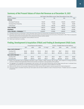# **Summary of Net Present Values of Future Net Revenue as of December 31, 2021**

| (\$000s)                            |           | Net Present Value Before Income Taxes Discounted at (% per Year) |           |         |  |  |  |
|-------------------------------------|-----------|------------------------------------------------------------------|-----------|---------|--|--|--|
| Reserve Category                    | 0%        | 5%                                                               | 10%       | 15%     |  |  |  |
| <b>PROVED</b>                       |           |                                                                  |           |         |  |  |  |
| Developed Producing                 | 742,567   | 651,462                                                          | 542,915   | 463,927 |  |  |  |
| Developed Non-Producing             | 102,439   | 71,406                                                           | 55,012    | 45,066  |  |  |  |
| Undeveloped                         | 941,525   | 583,748                                                          | 388,505   | 272,631 |  |  |  |
| <b>TOTAL PROVED</b>                 | 1,786,531 | 1,306,616                                                        | 986,432   | 781,624 |  |  |  |
| <b>PROBABLE</b>                     | 678,326   | 404,334                                                          | 279,419   | 212,060 |  |  |  |
| TOTAL PROVED + PROBABLE(1)(2)(3)(4) | 2,464,857 | 1,710,950                                                        | 1,265,851 | 993,685 |  |  |  |

(1) Evaluated by Sproule as at December 31, 2021. Net present value of future net revenue does not represent fair value of the reserves.

(2) Net present values equals net present value before income taxes based on Sproule's forecast prices and costs as of December 31, 2021. There is no assurance that the forecast price and cost assumptions will be attained and variances could be material.

(3) Includes abandonment and reclamation costs as defined in NI 51-101.

(4) Totals may not add due to rounding.

# **Finding, Development & Acquisition (FD&A) and Finding & Development (F&D) Costs**

|                                       | Proved Reserves Net Additions |           |         |                           | Proved + Probable Reserves Net Additions |           |         |                           |
|---------------------------------------|-------------------------------|-----------|---------|---------------------------|------------------------------------------|-----------|---------|---------------------------|
|                                       | 2021                          | 2020      | 2019    | $3$ Yr Avg <sup>(4)</sup> | 2021                                     | 2020      | 2019    | $3$ Yr Avg <sup>(4)</sup> |
| FD&A COSTS PER BOE(1)(2)(3)           |                               |           |         |                           |                                          |           |         |                           |
| Including FDC                         | \$6,90                        | \$12,46   | \$14.32 | \$9.44                    | \$5.64                                   | \$9,87    | \$18,24 | \$10,06                   |
| Excluding FDC                         | \$8,68                        | (\$18.21) | \$9.94  | \$15,27                   | \$8.23                                   | (\$13.26) | \$12,35 | \$17.86                   |
| <b>F&amp;D COSTS PER BOE(1)(2)(3)</b> |                               |           |         |                           |                                          |           |         |                           |
| Including FDC                         | \$6.90                        | \$12,46   | \$14.32 | \$9.44                    | \$5.64                                   | \$9.87    | \$18,24 | \$10,06                   |
| Excluding FDC                         | \$8.68                        | (\$18.21) | \$9.94  | \$15.27                   | \$8.23                                   | (\$13.26) | \$12.35 | \$17.86                   |

(1) Barrels of Oil Equivalent may be misleading, particularly if used in isolation. A BOE conversion ratio of 6 MCF: 1 bbl is based on an energy equivalency conversion method primarily applicable at the burner tip and does not represent a value equivalency at the wellhead.

(2) The aggregate of the exploration and development costs incurred in the most recent financial year and the change during that year in estimated future development costs generally will not reflect total finding and development costs related to reserve additions for that year.

(3) FD&A and F&D costs are net of proceeds of disposal and the FD&A costs per BOE are based on reserves acquired net of reserves disposed of.

(4) Three year average is calculated using three year total capital costs and reserve additions on both a Proved and Proved + Probable reserves on a weighted average basis.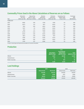# **Commodity Prices Used in the Above Calculations of Reserves are as Follows**

| Year            | Edmonton<br>Par Price<br>(\$Cdn per bbl) | <b>Natural Gas</b><br>AECO-C Spot<br>(\$Cdn per mmbtu) | <b>Butanes</b><br>Edmonton<br>(\$Cdn per bbl) | Pentanes<br>Edmonton<br>(\$Cdn per bbl) | <b>Operating Cost</b><br><b>Inflation Rate</b><br>(% per Year) | Exchange<br>Rate<br>\$US/\$Cdn) |
|-----------------|------------------------------------------|--------------------------------------------------------|-----------------------------------------------|-----------------------------------------|----------------------------------------------------------------|---------------------------------|
| <b>FORECAST</b> |                                          |                                                        |                                               |                                         |                                                                |                                 |
| 2022            | 86,82                                    | 3.56                                                   | 57.49                                         | 91.85                                   | 0.0                                                            | 0.80                            |
| 2023            | 80.73                                    | 3.21                                                   | 50.17                                         | 85.53                                   | 2.3                                                            | 0.80                            |
| 2024            | 78.01                                    | 3.05                                                   | 48.53                                         | 82.98                                   | 2.0                                                            | 0.80                            |
| 2025            | 79.57                                    | 3.11                                                   | 49.50                                         | 84.63                                   | 2.0                                                            | 0.80                            |
| 2026            | 81.16                                    | 3.17                                                   | 50.49                                         | 86.33                                   | 2.0                                                            | 0.80                            |
| 2027            | 82.78                                    | 3.23                                                   | 51.50                                         | 88.05                                   | 2.0                                                            | 0.80                            |
| 2028            | 84.44                                    | 3.30                                                   | 52.53                                         | 89.82                                   | 2.0                                                            | 0.80                            |
| 2029            | 86.13                                    | 3.36                                                   | 53.58                                         | 91.61                                   | 2.0                                                            | 0.80                            |
| 2030            | 87.85                                    | 3.43                                                   | 54.65                                         | 93.44                                   | 2.0                                                            | 0.80                            |
| 2031            | 89.61                                    | 3.50                                                   | 55.74                                         | 95.32                                   | 2.0                                                            | 0.80                            |
| 2032            | 91.40                                    | 3.57                                                   | 56.86                                         | 97.22                                   | 2.0                                                            | 0.80                            |

Crude oil, natural gas and liquid prices escalate at 2.0 percent thereafter.

# **Production**

|                  |                                        | 2021                                                       |                               |
|------------------|----------------------------------------|------------------------------------------------------------|-------------------------------|
|                  | <b>Oil &amp; NGLS</b><br>(bbl Per Day) | <b>Conventional</b><br><b>Natural Gas</b><br>(Mcf Per Day) | <b>Total</b><br>(BOE Per Day) |
| Alberta          | 8,105                                  | 26,786                                                     | 12,568                        |
| Saskatchewan     | 107                                    | 36                                                         | 113                           |
| British Columbia | 6                                      | 354                                                        | 66                            |
|                  | 8,218                                  | 27,176                                                     | 12,747                        |

# **Land Holdings**

|                  | 2021<br>2020       |                  |             |           |
|------------------|--------------------|------------------|-------------|-----------|
|                  | <b>Gross Acres</b> | <b>Net Acres</b> | Gross Acres | Net Acres |
| Alberta          | 331,252            | 204,134          | 344,052     | 216,076   |
| Saskatchewan     | 7,806              | 5,595            | 8,157       | 5,680     |
| British Columbia | 65,913             | 28,260           | 62,045      | 23,690    |
|                  | 404,970            | 237,989          | 414,254     | 245,446   |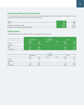# **Petroleum and Natural Gas Expenditures**

The following table summarized petroleum and natural gas capital expenditures incurred by Bonterra on acquisitions, land, and exploration and development costs for the years ended December 31:

| (\$000s)                                           | 2021   | 2020   |
|----------------------------------------------------|--------|--------|
| Land                                               | 1,621  | 959    |
| Exploration and development costs                  | 65,661 | 42,769 |
| Net petroleum and natural gas capital expenditures | 67,282 | 43,728 |

# **Drilling History**

The following tables summarize Bonterra's gross and net drilling activity and success:

|              |                    |            | 2021               |            |              |            |
|--------------|--------------------|------------|--------------------|------------|--------------|------------|
|              | <b>Development</b> |            | <b>Exploratory</b> |            | <b>Total</b> |            |
|              | <b>Gross</b>       | <b>Net</b> | <b>Gross</b>       | <b>Net</b> | <b>Gross</b> | <b>Net</b> |
| Crude oil    | 39.0               | 35.8       | х.                 | х.         | 39.0         | 35.8       |
| Natural gas  | <b>COL</b>         | <b>COL</b> | <b>COL</b>         | <b>COL</b> | <b>COL</b>   | <b>COL</b> |
| Total        | 39.0               | 35.8       | <b>COL</b>         | ×.         | 39.0         | 35.8       |
| Success rate | 100%               | 100%       | <b>COL</b>         | <b>COL</b> | 96%          | 96%        |

|              |                          |                                     | 2020                     |                          |                          |                          |  |  |
|--------------|--------------------------|-------------------------------------|--------------------------|--------------------------|--------------------------|--------------------------|--|--|
|              |                          | Total<br>Development<br>Exploratory |                          |                          |                          |                          |  |  |
|              | Gross                    | <b>Net</b>                          | Gross                    | <b>Net</b>               | Gross                    | <b>Net</b>               |  |  |
| Crude oil    | 27.0                     | 23.9                                | $\overline{\phantom{a}}$ | $\overline{\phantom{a}}$ | 27.0                     | 23.9                     |  |  |
| Natural gas  | $\overline{\phantom{0}}$ | $\overline{\phantom{0}}$            | $\overline{\phantom{a}}$ | $-$                      | $\overline{\phantom{a}}$ | $\overline{\phantom{0}}$ |  |  |
| Total        | 27.0                     | 23.9                                | $\overline{\phantom{a}}$ | $\overline{\phantom{a}}$ | 27.0                     | 23.9                     |  |  |
| Success rate | 96%                      | 96%                                 | $\overline{\phantom{a}}$ | $\overline{\phantom{a}}$ | 96%                      | 96%                      |  |  |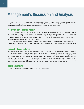# **Management's Discussion and Analysis**

The following report dated March 9, 2022 is a review of the operations and current financial position for the year ended December 31, 2021 for Bonterra Energy Corp. ("Bonterra" or "the Company") and should be read in conjunction with the audited financial statements presented under International Financial Reporting Standards (IFRS), including the notes related thereto.

## **Use of Non-IFRS Financial Measures**

Throughout this Management's Discussion and Analysis (MD&A) the Company uses the terms "field netback", "cash netback" and "net debt" to analyze operating performance, which are not standardized measures recognized under IFRS and do not have a standardized meaning prescribed by IFRS. These measures are commonly used in the oil and gas industry and are considered informative by management, shareholders and analysts. These measures may differ from those made by other companies and accordingly may not be comparable to such measures as reported by other companies.

The Company calculates cash and field netback by dividing various financial statement items as determined by IFRS by total production for the period on a barrel of oil equivalent basis. The Company calculates net debt as long-term debt plus working capital deficiency (current liabilities less current assets).

# **Frequently Recurring Terms**

Bonterra uses the following frequently recurring terms in this MD&A: "WTI" refers to West Texas Intermediate, a grade of light sweet crude oil used as benchmark pricing in the United States; "MSW Stream Index" or "Edmonton Par" refers to the mixed sweet blend that is the benchmark price for conventionally produced light sweet crude oil in Western Canada; "AECO" is the benchmark price for natural gas in Alberta, Canada; "bbl" refers to barrel; "NGL" refers to Natural gas liquids; "MCF" refers to thousand cubic feet; "MMBTU" refers to million British Thermal Units; "GJ" refers to gigajoule; and "BOE" refers to barrels of oil equivalent. Disclosure provided herein in respect of a BOE may be misleading, particularly if used in isolation. A BOE conversion ratio of 6 MCF: 1 bbl is based on an energy conversion method primarily applicable at the burner tip and does not represent a value equivalency at the wellhead.

## **Numerical Amounts**

The reporting and the functional currency of the Company is the Canadian dollar.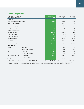# **Annual Comparisons**

| As at and for the year ended<br>(\$000s except \$ per share) |                              | December 31,<br>2021 | December 31,<br>2020 | December 31,<br>2019 |
|--------------------------------------------------------------|------------------------------|----------------------|----------------------|----------------------|
| <b>FINANCIAL</b>                                             |                              |                      |                      |                      |
| Revenue - realized oil and gas sales                         |                              | 251,616              | 121,642              | 202,749              |
| Cash flow from operations                                    |                              | 96,103               | 32,073               | 81,132               |
| Per share - basic                                            |                              | 2.85                 | 0.96                 | 2.43                 |
| Per share - diluted                                          |                              | 2.76                 | 0.96                 | 2.43                 |
| Dividend payout ratio                                        |                              | 0%                   | 3%                   | 5%                   |
| Cash dividends per share                                     |                              | 0.00                 | 0.03                 | 0.12                 |
| Net earnings (loss) <sup>(1)</sup>                           |                              | 179,299              | (306, 889)           | 21,923               |
| Per share - basic                                            |                              | 5,32                 | (9.19)               | 0.66                 |
| Per share - diluted                                          |                              | 5.16                 | (9.19)               | 0.66                 |
| Capital expenditures                                         |                              | 67,282               | 43,728               | 53,627               |
| <b>Total assets</b>                                          |                              | 945,721              | 731,859              | 1,087,817            |
| Net debt                                                     |                              | 267,179              | 315,573              | 292,810              |
| Shareholders' equity                                         |                              | 392,019              | 196,633              | 503,949              |
| <b>OPERATIONS</b>                                            |                              |                      |                      |                      |
| Light oil                                                    | - bbl per day                | 7,204                | 5,832                | 7,310                |
|                                                              | - average price (\$ per bbl) | 74.53                | 44.31                | 66.34                |
| <b>NGLs</b>                                                  | - bbl per day                | 1,013                | 1,032                | 986                  |
|                                                              | - average price (\$ per bbl) | 43,86                | 18.65                | 25.83                |
| Conventional natural gas                                     | - MCF per day                | 27,176               | 22,268               | 24,053               |
|                                                              | - average price (\$ per MCF) | 3.97                 | 2.46                 | 1.87                 |
| Total BOE per day                                            |                              | 12,747               | 10,575               | 12,305               |

(1) In the first quarter of 2020 the Company recorded a \$331,678,000 impairment provision less a \$54,107,000 deferred income tax recovery related to its Alberta CGU's oil and gas assets due to the impact of COVID-19 effect on the forward benchmark prices for crude oil. With stronger forward prices in Q2 2021, the Company recorded a \$203,197,000 impairment reversal on its Alberta CGU's oil and gas assets less \$47,149,000 deferred income tax expense.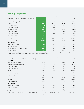# **Quarterly Comparisons**

|                                                              | 2021    |                |                |                |  |  |  |  |
|--------------------------------------------------------------|---------|----------------|----------------|----------------|--|--|--|--|
| As at and for the periods ended (\$000s except \$ per share) | Q4      | Q <sub>3</sub> | Q <sub>2</sub> | Q <sub>1</sub> |  |  |  |  |
| <b>FINANCIAL</b>                                             |         |                |                |                |  |  |  |  |
| Revenue - oil and gas sales                                  | 79,202  | 64,457         | 59,163         | 48,794         |  |  |  |  |
| Cash flow from operations                                    | 37,868  | 24,616         | 18,874         | 14,745         |  |  |  |  |
| Per share - basic                                            | 1.11    | 0.73           | 0.56           | 0.44           |  |  |  |  |
| Per share - diluted                                          | 1.07    | 0.71           | 0.55           | 0.43           |  |  |  |  |
| Net earnings (loss) <sup>(1)</sup>                           | 16,333  | 7,296          | 157,354        | (1,684)        |  |  |  |  |
| Per share - basic                                            | 0.48    | 0.22           | 4.68           | (0.05)         |  |  |  |  |
| Per share - diluted                                          | 0.46    | 0.21           | 4.55           | (0.05)         |  |  |  |  |
| Capital expenditures                                         | 17,636  | 18,578         | 7,607          | 23,461         |  |  |  |  |
| Total assets                                                 | 945,721 | 939,835        | 948,260        | 748,543        |  |  |  |  |
| Net debt                                                     | 267,179 | 307,729        | 319,310        | 328,506        |  |  |  |  |
| Shareholders' equity                                         | 392,019 | 361,590        | 353,431        | 195,393        |  |  |  |  |
| <b>OPERATIONS</b>                                            |         |                |                |                |  |  |  |  |
| Light oil (barrels per day)                                  | 7,659   | 6,948          | 7,370          | 6,834          |  |  |  |  |
| NGLs (barrels per day)                                       | 1,105   | 928            | 996            | 1,025          |  |  |  |  |
| Conventional natural gas (MCF per day)                       | 30,276  | 27,995         | 26,057         | 24,301         |  |  |  |  |
| Total BOE per day                                            | 13,810  | 12,542         | 12,709         | 11,909         |  |  |  |  |

(1) In Q2 2021, with stronger forward benchmark prices since the impact of COVID-19 beginning in March 2020, the Company recorded a \$203,197,000 impairment reversal on its Alberta CGU's oil and gas assets less \$47,149,000 deferred income tax expense.

|                                                               | 2020     |                |                |            |  |  |  |
|---------------------------------------------------------------|----------|----------------|----------------|------------|--|--|--|
| As at and for the periods ended (\$ 000s except \$ per share) | Q4       | Q <sub>3</sub> | Q <sub>2</sub> | Q1         |  |  |  |
| <b>FINANCIAL</b>                                              |          |                |                |            |  |  |  |
| Revenue - oil and gas sales                                   | 31,761   | 29,155         | 22,171         | 38,555     |  |  |  |
| Cash flow from (used in) operations                           | (1,199)  | 6,370          | 4,429          | 22,473     |  |  |  |
| Per share - basic                                             | (0.04)   | 0.19           | 0.13           | 0.67       |  |  |  |
| Per share - diluted                                           | (0.04)   | 0.19           | 0.13           | 0.67       |  |  |  |
| Net loss <sup>(1)</sup>                                       | (11,071) | (5,211)        | (5,954)        | (284, 653) |  |  |  |
| Per share - basic                                             | (0.33)   | (0.16)         | (0.18)         | (8.53)     |  |  |  |
| Per share - diluted                                           | (0.33)   | (0.16)         | (0.18)         | (8.53)     |  |  |  |
| Capital expenditures                                          | 19,064   | 2,819          | 104            | 21,741     |  |  |  |
| Total assets                                                  | 731,859  | 722,910        | 732,462        | 743,533    |  |  |  |
| Net debt                                                      | 315,573  | 295,168        | 299,445        | 300,688    |  |  |  |
| Shareholders' equity                                          | 196,633  | 207,325        | 212,342        | 218,211    |  |  |  |
| <b>OPERATIONS</b>                                             |          |                |                |            |  |  |  |
| Light oil (barrels per day)                                   | 5,371    | 5,355          | 5,553          | 7,058      |  |  |  |
| NGLs (barrels per day)                                        | 960      | 1,064          | 1,104          | 999        |  |  |  |
| Conventional natural gas (MCF per day)                        | 22,560   | 21,510         | 21,142         | 23,864     |  |  |  |
| Total BOE per day                                             | 10,091   | 10,004         | 10,181         | 12,034     |  |  |  |

(1) In the first quarter of 2020 the Company recorded a \$331,678,000 impairment provision less a \$54,107,000 deferred income tax recovery related to its Alberta CGU's oil and gas assets due to the impact of COVID-19 on forward benchmark prices for crude oil.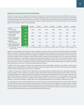# **Business Environment and Sensitivities**

Bonterra's financial results are significantly influenced by fluctuations in commodity prices, including price differentials, as well as production volumes and foreign exchange rates. The following table depicts selective market benchmark commodity prices, differentials and foreign exchange rates in the last eight quarters to assist in understanding how past volatility has impacted Bonterra's financial and operating performance. The increases or decreases in Bonterra's realized average price for oil and natural gas for each of the eight quarters is also outlined in detail in the following table.

|                                                                     | Q4-2021 | Q3-2021 | Q2-2021 | O1-2021 | Q4-2020 | Q3-2020 | Q2-2020 | Q1-2020 |
|---------------------------------------------------------------------|---------|---------|---------|---------|---------|---------|---------|---------|
| Crude oil<br>$WTI (U.S.\$/bbI)$                                     | 77.19   | 70.56   | 66.07   | 57.84   | 42.66   | 40.93   | 27.85   | 46.17   |
| WTI to MSW Stream Index<br>Differential (U.S.\$/bbl) <sup>(1)</sup> | (3.10)  | (4.08)  | (3.11)  | (5.24)  | (4.07)  | (3.51)  | (6.14)  | (7.58)  |
| Foreign exchange<br>U.S.\$ to Cdn\$                                 | 1.2601  | 1.2602  | 1.2280  | 1.2663  | 1.3031  | 1.3316  | 1,3860  | 1.3445  |
| Bonterra average realized<br>oil price (Cdn\$/bbl)                  | 85,04   | 78.42   | 71.49   | 61.76   | 47.16   | 45.73   | 33.31   | 49.67   |
| Natural gas<br>AECO (Cdn\$/mcf)                                     | 4.63    | 3.58    | 3.08    | 3.14    | 2.63    | 2.23    | 1.98    | 2.02    |
| Bonterra average realized<br>gas price (Cdn\$/mcf)                  | 4.93    | 3.94    | 3.37    | 3.44    | 3.02    | 2.40    | 2.14    | 2.26    |

(1) This differential accounts for the majority of the difference between WTI and Bonterra's average realized price (before quality adjustments and foreign exchange).

Bonterra's average realized commodity prices can be impacted by numerous events or factors. Most impactful has been the ongoing effects of the COVID-19 pandemic. Volatility in WTI benchmark pricing has been significant since the onset of COVID-19 in early 2020, though commodity pricing and industry activity has begun to strengthen in the second half of 2021 and into 2022. WTI benchmark prices for the fourth quarter of 2021 increased by nearly \$7 USD per barrel compared to the third quarter of 2021. The increase was driven by continuing improvements in real demand, coupled with ongoing supply discipline from both OPEC+ and US shale producers. These factors have continued to result in significant destocking of global crude and product inventories, which continues to support a higher price environment. However, uncertainty still remains around prolonged COVID-19 related market impacts and supply and demand levels through 2022, and as such, it is likely that pricing volatility will continue.

In addition to the above supply and demand issues, geopolitical concerns have played a significant role recently in crude oil price volatility. Tension between Russia, the Ukraine and western countries that support NATO are at the forefront currently, and headlines from this conflict are influencing crude oil prices on a daily basis.

In addition to crude prices, Canadian crude oil differentials can also impact Bonterra's financial performance. Differentials narrowed in the fourth quarter of 2021 compared to the previous quarter. Strong North American refining demand and the startup of the longanticipated Enbridge Line 3 expansion project both contributed to improved Canadian differentials in the fourth quarter. Longer term, the Trans Mountain Expansion is expected to increase Canada's export capabilities, and similar to Line 3, is anticipated to have a positive effect on the movement and pricing of Canadian barrels. Ongoing concerns around the outcome of Enbridge's Line 5 crossing into Michigan is a factor that could have a negative effect on the pricing differential between WTI and MSW or Edmonton Par pricing.

Low natural gas inventories around the globe have driven many natural gas commodity benchmark prices to multi-year highs, including the AECO benchmark price which increased nearly 30 percent in the fourth quarter of 2021 relative to the previous quarter. Forecast natural gas pricing in 2022 continues to reflect an improved AECO market. Planned facility additions for the NGTL system in the near term and progress by LNG Canada for the Kitimat liquefied natural gas export facility over the longer term may continue to support and improve market sentiment towards western Canadian-based natural gas producers.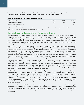The following chart shows the Company's sensitivity to key commodity price variables. The sensitivity calculations are performed independently and show the effect of changing one variable while holding all other variables constant.

#### **Annualized sensitivity analysis on cash flow, as estimated for 2022**(1)

| Impact on cash flow                 | Change (\$) | \$000s | $$$ per share <sup>(2)</sup> |
|-------------------------------------|-------------|--------|------------------------------|
| Realized crude oil price (\$/bbl)   | 1.00        | 2,517  | 0.07                         |
| Realized natural gas price (\$/mcf) | 0.10        | 979    | 0.03                         |
| U.S.\$ to Canadian \$ exchange rate | 0.01        | 2.013  | 0.06                         |

(1) This analysis uses current royalty rates, annualized estimated average production of 13,500 BOE per day and no changes in working capital.

(2) Based on annualized basic weighted average shares outstanding of 35,000,952.

## **Business Overview, Strategy and Key Performance Drivers**

Bonterra is an upstream oil and gas company that is primarily focused on the development of its Cardium land within the Pembina and Willesden Green areas located in central Alberta. The Pembina Cardium reservoir is the largest conventional oil reservoir in western Canada that features large original oil in place with very low recoveries to date. Bonterra operates approximately 93 percent of its production and the majority of its related oil and gas processing facilities, which require minimal additional capital to support an increase of production. Bonterra is committed to employing local services in Drayton Valley and to being a key economic contributor to rural and surrounding communities located within central Alberta.

On October 20, 2021, the Company successfully closed a private placement debt financing, thereby achieving its goal of restructuring all bank debt to a fully conforming revolving credit facility and converting \$19.5 million of its current subordinated promissory note and dueto-related party debt under the same terms and conditions as the private placement. Bonterra's current debt restructuring and move to a fully conforming \$210 million borrowing base facility together represent the complete removal of the existing \$65 million non-revolving term loan, leading to significantly improved financial flexibility. With these balance sheet improvements combined with strengthening commodity prices, the Company has established a stronger position from which to execute on its business plan through 2022. Bonterra intends to continue investing capital for incremental growth initiatives to support increased free cash flow generation that can be allocated to further enhancing its capital structure, balance sheet and leverage metric improvements.

Bonterra successfully returned to pre-COVID-19 production levels in 2021, taking advantage of rising commodity prices to maximize cash flow. The Company averaged 12,747 BOE per day of production in 2021, an increase of 2,172 BOE per day, or twenty-one percent compared to 2020, and averaged 13,810 BOE per day through the fourth quarter. With production volumes now in excess of pre-COVID-19 levels, the Company's 2022 production guidance has been reaffirmed between 13,300 to 13,700 BOE per day. Bonterra believes the Company has established a strong position to continue pursuing profitable development of its high-quality, light oil weighted asset base and remains focused to maximizing the Company's financial position.

In 2021, the Company achieved a six percent reduction per well drilling, completion, and equipping costs compared to the prior year. Bonterra invested total capital expenditures of \$67.3 million in 2021, which was at the lower end of its annual capital budget. Of the total capital invested, \$51.1 million was directed to the drilling of 37 gross (35.4 net) operated wells and the completing, equipping, tying-in and placing on production of 35 gross (33.2 net) operated wells, with four of the completed and equipped wells having been drilled late in 2020. Approximately \$16.2 million of the capital program was directed to related infrastructure, recompletions and nonoperated capital programs. The six gross (6.0 net) operated wells drilled in the fourth quarter of 2021 were completed, equipped and tied-in in the first quarter of 2022. The Company's previously announced 2022 capital expenditure budget is expected to total between \$55 million to \$65 million.

Bonterra successfully abandoned 220.7 net wells, 203.0 net pipeline segments and decommissioned 3.0 net battery sites during 2021 with support from the Alberta Site Rehabilitation Program ("SRP"). As the Company continues to execute its abandonment program through 2022, a further 131 net wells and associate pipelines that have no deemed future economic potential are forecast to be abandoned. Bonterra continuously reviews its inactive well inventory for future potential to determine if a well bore should be reactivated, repurposed, or abandoned.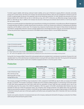To further support stability while facing continued market volatility, and as part of Bonterra's ongoing efforts to diversify commodity pricing and to protect future cash flows, the Company has executed physical delivery sales and risk management contracts to the end of 2022 on approximately 30 percent of its expected crude oil and natural gas production. For 2022, Bonterra has secured a WTI price between \$48.00 USD to \$92.10 USD per bbl on 2,460 bbls per day, with a WTI to Edmonton par differential average of approximately \$6.00 on 1,663 bbls per day. In addition, the Company has secured a natural gas price between \$2.00 to \$4.15 on 11,301 GJ per day for the next twelve months.

Bonterra's successful operations are dependent upon several factors including, but not limited to: commodity prices, efficient management of capital spending, the ability to maintain desired levels of production, control over infrastructure, efficiency in developing and operating properties, and the ability to control costs. The Company's key measures of performance with respect to these drivers include but are not limited to: average daily production volumes, average realized prices, and average production costs per unit of production. Disclosure of these key performance measures can be found in this MD&A and/or previous interim or annual MD&A disclosures.

# **Drilling**

| Three months ended                |                      |                    |                          |                          |                      | Year ended           |                |                    |                      |                      |
|-----------------------------------|----------------------|--------------------|--------------------------|--------------------------|----------------------|----------------------|----------------|--------------------|----------------------|----------------------|
|                                   | December 31.<br>2021 |                    | September 30,            | 2021                     |                      | December 31,<br>2020 | December 31.   | 2021               |                      | December 31,<br>2020 |
|                                   | $Gross^{(1)}$        | Net <sup>(2)</sup> | $Gross^{(1)}$            | Net <sup>(2)</sup>       | Gross <sup>(1)</sup> | Net <sup>(2)</sup>   | $Gross^{(1)}$  | Net <sup>(2)</sup> | Gross <sup>(1)</sup> | Net <sup>(2)</sup>   |
| Crude oil horizontal-operated     | 8                    | 8.0                | 13                       | 11.5                     | 13                   | 12.8                 | 37             | 35.4               | 24                   | 23.8                 |
| Crude oil horizontal-non-operated | $\mathbf{2}$         | 0.4                | $\overline{\phantom{a}}$ | $\overline{\phantom{a}}$ | 3                    | 0.1                  | $\overline{2}$ | 0.4                | 3                    | 0.1                  |
| Total                             | 10                   | 8.4                | 13                       | 11.5                     | 16                   | 12.9                 | 39             | 35.8               | 27                   | 23.9                 |
| Success rate                      |                      | 100%               |                          | 100%                     |                      | 100%                 |                | 100%               |                      | 96%                  |

(1) "Gross" wells are the number of wells in which Bonterra has a working interest.

(2) "Net" wells are the aggregate number of wells obtained by multiplying each gross well by Bonterra's percentage of working interest.

During 2021, the Company drilled 37 gross (35.4 net) operated wells and completed, tied-in and placed on production 35 gross (33.2 net) operated wells. Four of the wells that were completed and tied-in during Q1 2021 were drilled in late 2020. The six gross (6.0 net) operated wells drilled in the fourth quarter of 2021 were completed, equipped and tied-in in the first quarter of 2022.

# **Production**

|                             |                      | Three months ended    | Year ended           |                      |                      |
|-----------------------------|----------------------|-----------------------|----------------------|----------------------|----------------------|
|                             | December 31.<br>2021 | September 30,<br>2021 | December 31.<br>2020 | December 31.<br>2021 | December 31.<br>2020 |
| Crude oil (barrels per day) | 7,659                | 6,948                 | 5,371                | 7,204                | 5,832                |
| NGLs (barrels per day)      | 1,105                | 928                   | 960                  | 1,013                | 1,032                |
| Natural gas (MCF per day)   | 30,276               | 27,995                | 22,560               | 27,176               | 22,268               |
| Average BOE per day         | 13,810               | 12,542                | 10,091               | 12,747               | 10,575               |

The Company averaged 12,747 BOE per day of production in 2021, compared to 10,575 BOE per day for 2020, an increase of 2,172 BOE per day or 21 percent. The increase in production is largely due to the Company's drilling program re-commencing in the fourth quarter of 2020 after being suspended since April 2020, along with the reactivation of down wells that were voluntarily shut-in due to low commodity prices from the onset of the COVID-19 pandemic. With the support of the BDC subordinated debt, Bonterra has since exceeded Q1 2020 (pre COVID-19) production levels. The Company's 2021 average production was slightly below with its previously stated annual production guidance of 12,800 to 13,200 BOE per day, despite experiencing an average of approximately 375 BOE per day of downtime during the year due to third-party pipeline and facility issues and pipeline freeze offs in December 2021 due to extremely cold weather.

Quarter-over-quarter production increased primarily due to the Company realizing the full benefit of bringing on production from fifteen wells during the third and fourth quarter of 2021.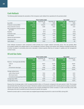# **Cash Netback**

The following table illustrates the calculation of the Company's cash netback from operations for the periods ended:

|                                                   |                      | Three months ended    | Year ended           |                      |                      |
|---------------------------------------------------|----------------------|-----------------------|----------------------|----------------------|----------------------|
| \$ per BOE                                        | December 31.<br>2021 | September 30,<br>2021 | December 31,<br>2020 | December 31.<br>2021 | December 31.<br>2020 |
| Production volumes (BOE)                          | 1,270,488            | 1,153,874             | 928,332              | 4,652,719            | 3,870,369            |
| Gross production revenue                          | 62.34                | 55,86                 | 34.21                | 54.08                | 31.43                |
| Risk management contracts realized<br>gain (loss) | (5.24)               | (4.21)                | (0.58)               | (3.74)               | 0.10                 |
| Royalties                                         | (6.94)               | (6.17)                | (2.11)               | (5.53)               | (2.02)               |
| Production costs                                  | (15.70)              | (14.45)               | (17.30)              | (15.19)              | (15.12)              |
| Field netback                                     | 34.46                | 31.03                 | 14.22                | 29.62                | 14.39                |
| General and administrative                        | (2.64)               | (1.74)                | (4.07)               | (2.20)               | (2.54)               |
| Interest and other                                | (3.10)               | (4.45)                | (7.28)               | (4.89)               | (4.67)               |
| Cash netback                                      | 28.72                | 24.84                 | 2.87                 | 22.53                | 718                  |

Cash netbacks increased in 2021 compared to 2020 primarily due to higher realized commodity prices. This was partially offset by increased royalties and realized losses on risk management contracts. Quarter-over-quarter cash netbacks increased primarily due to further increases in commodity prices and a decrease in interest expense offset by an increase in royalties and risk management contract losses.

# **Oil and Gas Sales**

|                                       |                                               | Three months ended | Year ended |              |              |
|---------------------------------------|-----------------------------------------------|--------------------|------------|--------------|--------------|
|                                       | December 31,<br>September 30,<br>December 31, |                    |            | December 31, | December 31, |
|                                       | 2021                                          | 2021               | 2020       | 2021         | 2020         |
| Revenue – oil and gas sales (\$ 000s) |                                               |                    |            |              |              |
| Light oil                             | 59,924                                        | 50,127             | 23,301     | 195,985      | 94,567       |
| <b>NGL</b>                            | 5,543                                         | 4,172              | 2,188      | 16,225       | 7,044        |
| Conventional natural gas              | 13,735                                        | 10,158             | 6,272      | 39,406       | 20,031       |
|                                       | 79,202                                        | 64,457             | 31,761     | 251,616      | 121,642      |
| Average realized prices:              |                                               |                    |            |              |              |
| Light oil (\$ per barrel)             | 85.04                                         | 78.42              | 47.16      | 74.53        | 44.31        |
| NGL (\$ per barrel)                   | 54.54                                         | 48.86              | 24.78      | 43,86        | 18.65        |
| Conventional natural gas (\$ per MCF) | 4.93                                          | 3.94               | 3.02       | 3.97         | 2.46         |
| Average (\$ per BOE)                  | 62.34                                         | 55,86              | 34.21      | 54.08        | 31.43        |
| Average BOE per day                   | 13,810                                        | 12,542             | 10,091     | 12,747       | 10,575       |

Revenue from oil and gas sales in 2021 increased by \$129.9 million, or 107 percent, compared to the same period in 2020. This increase was primarily driven by a 68 percent increase in Bonterra's realized crude oil prices paired with a twenty percent increase in production. Quarter-over-quarter, oil and gas sales increased as the Company benefited from further increases in crude oil and NGL prices while natural gas prices also increased by twenty-five percent quarter-over-quarter.

Bonterra's product split on a revenue basis was weighted approximately 84 percent to crude oil and NGLs during 2021.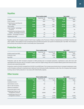# **Royalties**

|                                                                           |                      | Three months ended    | Year ended           |                      |                      |
|---------------------------------------------------------------------------|----------------------|-----------------------|----------------------|----------------------|----------------------|
| (\$000s)                                                                  | December 31,<br>2021 | September 30,<br>2021 | December 31,<br>2020 | December 31,<br>2021 | December 31,<br>2020 |
| Crown royalties                                                           | 5,716                | 4,193                 | 913                  | 15,241               | 4,104                |
| Freehold, gross overriding and<br>other royalties                         | 3,099                | 2,926                 | 1,044                | 10,509               | 3,717                |
| Total royalties                                                           | 8,815                | 7,119                 | 1,957                | 25,750               | 7,821                |
| Crown royalties - percentage<br>of revenue                                | 7.2                  | 6.5                   | 2.9                  | 6.1                  | 3.4                  |
| Freehold, gross overriding and other<br>royalties - percentage of revenue | 3.9                  | 4.5                   | 3.3                  | 4.2                  | 3.1                  |
| Royalties - percentage of revenue                                         | 11.1                 | 11.0                  | 6.2                  | 10.3                 | 6.5                  |
| Royalties \$ per BOE                                                      | 6.94                 | 6.17                  | 2.11                 | 5.53                 | 2.02                 |

Royalties paid by the Company consist of both Crown royalties to the Provinces of Alberta, Saskatchewan and British Columbia and other royalties. Total royalties for 2021 increased by \$3.51 per BOE and quarter-over-quarter increased by \$0.77 per BOE. The increase in both periods was primarily the result of commodity price improvements.

# **Production Costs**

|                            |              | Three months ended | Year ended   |              |        |
|----------------------------|--------------|--------------------|--------------|--------------|--------|
|                            | December 31. | September 30,      | December 31, | December 31, |        |
| $($000s$ except $$perBOE)$ | 2021         | 2021               | 2020         | 2021         | 2020   |
| Production costs           | 19,951       | 16,676             | 16,064       | 70,670       | 58,525 |
| \$ per BOE                 | 15.70        | 14.45              | 17.30        | 15.19        | 15.12  |

Production costs for 2021 increased compared to 2020 primarily due to increased production, maintenance costs with more well reactivations from the prior year, an increase in power costs from higher energy rates and increased Alberta government levies as some amounts were waived during 2020.

Production costs for Q4 2021 increased from Q3 2021 on per BOE basis. The increase was primarily due to increased maintenance costs as the Company continued to reactivate down wells and more third-party facility maintenance costs. Also, the Company had increased trucking costs on flush production in new areas with limited facility capacity.

# **Other Income**

|                                                        |                      | Three months ended       |                          |                      | Year ended           |  |
|--------------------------------------------------------|----------------------|--------------------------|--------------------------|----------------------|----------------------|--|
| (\$000s)                                               | December 31,<br>2021 | September 30,<br>2021    | December 31,<br>2020     | December 31,<br>2021 | December 31,<br>2020 |  |
| Investment income                                      | 38                   | 5                        | 12                       | 67                   | 50                   |  |
| Administrative income                                  | 195                  | 124                      | 71                       | 487                  | 211                  |  |
| Gain on sale of property                               | 225                  | $\overline{\phantom{a}}$ | $\overline{\phantom{a}}$ | 225                  |                      |  |
| Deferred consideration                                 | 364                  | 321                      | 214                      | 1,292                | 889                  |  |
| Government grant in-kind                               | 1,009                | 1,470                    | 1,689                    | 5,901                | 1,689                |  |
| Realized gain (loss) on risk<br>management contracts   | (6,657)              | (4,856)                  | (540)                    | (17, 389)            | 401                  |  |
| Unrealized gain (loss) on risk<br>management contracts | 7,189                | 1,763                    | (3,451)                  | (968)                | (3,464)              |  |
|                                                        | 2,363                | (1,173)                  | (2,005)                  | (10, 385)            | (224)                |  |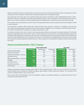Deferred consideration relates to a deferred gain on the sale of a two percent overriding royalty interest, which is recognized into revenue using the same unit-of-production method as the encumbered property, plant, and equipment assets.

The market value and carrying value of the investments held by the Company on December 31, 2021 was \$891,000 (December 31, 2020 – \$295,000). There were no dispositions during the period ended December 31, 2021 or December 31, 2020. Dispositions that result in a gain or loss on sale are recorded as an equity transfer between accumulated other comprehensive income and retained earnings.

The Company receives administrative income for various oil and gas administrative services provided and production equipment rentals to other companies.

The Government of Alberta's SRP provides grant funding through service providers to abandon or remediate oil and gas sites. The Company derecognized approximately \$5.9 million of asset retirement obligations as an in-kind grant in 2021 (December 31, 2020 – \$1.7 million). The benefit of the in-kind grant is recognized through other income.

To minimize commodity price risk on crude oil and natural gas sales, Bonterra has entered into financial derivatives. The financial derivatives outstanding are for the period from January 1, 2022 to December 31, 2022 and are for a total of 601,900 barrels of light crude oil (approximately 1,649 barrels of oil per day for the next twelve months) at fixed WTI prices ranging from \$48.00 USD to \$81.60 USD per barrel, with a fixed differential from WTI to Edmonton Par prices for 447,500 barrels of oil (approximately 1,226 barrels of oil per day) at prices ranging from approximately \$5.80 to \$6.55 per barrel. These contracts are not considered normal sales contracts and are recorded at fair value.

# **General and Administrative ("G&A") Expense**

|                                          | Three months ended   |                          |                      | Year ended           |                      |  |
|------------------------------------------|----------------------|--------------------------|----------------------|----------------------|----------------------|--|
| $($000s$ except $$per BOE)$              | December 31,<br>2021 | September 30,<br>2021    | December 31,<br>2020 | December 31.<br>2021 | December 31,<br>2020 |  |
| Employee compensation                    | 2,461                | 1,341                    | 1,412                | 5,924                | 3,903                |  |
| Office and administrative - recurring    | 891                  | 670                      | 1,077                | 3,379                | 3,093                |  |
| Total G&A recurring                      | 3,352                | 2,011                    | 2,489                | 9,303                | 6,996                |  |
| Office and administrative - nonrecurring | ٠                    | $\overline{\phantom{a}}$ | 1,287                | 946                  | 2,818                |  |
| <b>Total G&amp;A</b>                     | 3,352                | 2,011                    | 3.776                | 10,249               | 9,814                |  |
| \$ per BOE recurring                     | 2.64                 | 1.74                     | 2.68                 | 2.00                 | 1.81                 |  |
| \$ per BOE nonrecurring                  | ٠                    | $\overline{\phantom{a}}$ | 1.39                 | 0.20                 | 0.73                 |  |
| \$ per BOE total                         | 2.64                 | 1.74                     | 4.07                 | 2.20                 | 2.54                 |  |

Employee compensation expense increased by \$2.0 million in 2021 compared to 2020. In 2020, as a result of COVID-19, the Company cutback staffing costs and utilized the Canadian Emergency Wage Subsidy ("CEWS") government program. The Company did not receive any CEWS payments in Q2, Q3 and Q4 2021.

Non-recurring office and administrative costs are expenditures related to successfully defending an unsolicited hostile bid for the Company that expired March 29, 2021.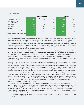## **Finance Costs**

|                                                | Three months ended   |                       |                          | Year ended           |                      |  |
|------------------------------------------------|----------------------|-----------------------|--------------------------|----------------------|----------------------|--|
| $($000s$ except $$per BOE)$                    | December 31,<br>2021 | September 30,<br>2021 | December 31,<br>2020     | December 31.<br>2021 | December 31,<br>2020 |  |
| Interest on bank debt and<br>subordinated debt | 3,063                | 4,985                 | 6,566                    | 21,332               | 17,353               |  |
| Other interest                                 | 1,109                | 281                   | 274                      | 1,937                | 1,003                |  |
| Interest expense                               | 4,172                | 5,266                 | 6,840                    | 23,269               | 18,356               |  |
| \$ per BOE                                     | 3,28                 | 4.56                  | 7.37                     | 5.00                 | 4.74                 |  |
| Accretion of decommissioning<br>liabilities    | 829                  | 822                   | 800                      | 3,230                | 3,134                |  |
| Accretion on subordinated debentures           | 410                  |                       | $\overline{\phantom{a}}$ | 410                  |                      |  |
| Total finance costs                            | 5,411                | 6,088                 | 7,640                    | 26,909               | 21,490               |  |

Interest on bank debt increased in 2021 compared to 2020 due to an increase in interest rates stemming from the negative effects of COVID-19 on the Company's net debt to earnings before income taxes and depletion and amortization (or "EBITDA" as defined by the Company's bank facility) ratio and the interest rate grid for the term portion of the facility. Interest costs were partially offset by a \$42.9 million reduction in the average bank debt balance outstanding. Interest rates for the current quarter are determined based on the trailing quarter and calculated by taking the ratio of total debt (excluding accounts payable and accrued liabilities) to EBITDA (defined as net income excluding finance costs, provision for current and deferred taxes, depletion and depreciation, share-option compensation, gain or loss on sale of assets and impairment of assets) multiplied by four.

Subordinated debt interest relates to the BDC second lien non-revolving four-year term loan. The Company drew \$28 million in Q4 2020 and \$17 million in Q1 2021. The loan bears interest at five percent in the first year and increases by one percent per year thereafter. For more information about the subordinated debt, refer to Note 12 of the December 31, 2021 audited annual financial statements.

Prior to October 20, 2021, other interest primarily related to amounts paid to a related party and a subordinated promissory note from a private investor ("Subordinated Loans"). For more information about the Subordinated Loans, refer to Note 9 and 10 of the December 31, 2021 audited annual financial statements.

On October 20, 2021, the Company issued 32,000 units of senior unsecured debentures (the "Initial Offering") at a face value of \$1,000 per unit. Each unit bears interest at 9 percent per annum and has a four-year term, and includes 56 common share purchase warrants of Bonterra. Each warrant is exercisable to acquire one common share of Bonterra at a price of \$7.75 per common share for a period of four years from October 20, 2021 and is subject to customary anti-dilution adjustment until October 20, 2025. In conjunction with the Initial Offering, the Company has also entered into agreements with the holders of its existing Subordinated Loans to convert their principal amounts of an aggregate of \$19.5 million into units under the same terms and conditions as the subscribers under the Initial Offering.

Concurrent with the closing of the Initial Offering, Bonterra entered into an agreement with the Agents providing for a separate offering of up to \$5 million of Units (the "Follow On Offering"), under the same terms and conditions as the Initial Offering. As part of the Follow On Offering, insiders of the Company were given the option to subscribe for up to \$1 million in Units. On October 21, 2021, The Company announced an increase to the Follow On Offering to \$7.5 million of Units. The Follow On Offering closed on November 10, 2021, and 7,500 units were issued. A total of 59,000 units were issued. For more information on unsecured subordinated debentures see Note 13 of the December 31, 2021 audited annual financial statements.

The unsecured subordinated debentures were determined to be a compound instrument with a debt and equity component. The fair value of the debt component of the \$59 million in debentures was determined on issuance to be 15.6 percent using the effective interest rate method, by discounting future payments of interest and principal with the residual value allocated to Warrants of \$9.8 million and issue costs of \$2.2 million. The value of the debt will accrete up to the principal balance at maturity. The Company estimated the fair value of \$9.8 million or \$2.97 per Warrant using the Black-Scholes option pricing model. The Warrants have been recorded net of \$2.3 million of deferred taxes in shareholders' equity.

A one percent increase (decrease) in the Canadian prime rate would decrease (increase) both annual net earnings and comprehensive income by approximately \$1,618,000.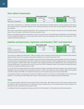# **Share-Option Compensation**

|                           | Three months ended   |                       |                      | Year ended           |                      |  |
|---------------------------|----------------------|-----------------------|----------------------|----------------------|----------------------|--|
| (\$000s)                  | December 31.<br>2021 | September 30.<br>2021 | December 31.<br>2020 | December 31,<br>2021 | December 31.<br>2020 |  |
| Share-option compensation | 259                  | 292                   | 194                  | 1,095                | 438                  |  |

Share-option compensation is a statistically calculated value representing the estimated expense of issuing employee stock options. The Company records a compensation expense over the vesting period based on the fair value of options granted to directors, officers and employees.

Share-option compensation increased by \$657,000 in 2021 compared to 2020. The increase is primarily due to the 1,200,000 options issued in the fourth quarter of 2020 (which will be fully amortized in 2021).

Based on the outstanding options as of December 31, 2021, the Company has an unamortized expense of \$287,000, of which \$191,000 is in 2022 and \$96,000 thereafter. For more information about options issued and outstanding, refer to Note 16 of the December 31, 2021 audited annual financial statements.

# **Depletion and Depreciation, Exploration and Evaluation ("E&E") and Impairment**

|                                     |              | Three months ended       | Year ended   |              |              |
|-------------------------------------|--------------|--------------------------|--------------|--------------|--------------|
|                                     | December 31. | September 30,            | December 31. | December 31. | December 31, |
| (\$000s)                            | 2021         | 2021                     | 2020         | 2021         | 2020         |
| Depletion and depreciation          | 22,567       | 21,579                   | 14,439       | 76,791       | 59,225       |
| Impairment (reversal of impairment) |              | $\overline{\phantom{a}}$ | -            | (203, 197)   | 331,678      |

The provision for depletion and depreciation ("D&D") increased in 2021 compared to 2020 primarily due to increased capital spending, higher production volumes and a greater carrying value to deplete from an impairment reversal in 2021.

At March 31, 2020 the Company determined that the carrying value of the Company's Alberta cash generating unit ("CGU") exceeded its recoverable amount. A total impairment loss of \$331.7 million was recognized, with \$234.3 million recognized on the Company's property, plant and equipment ("PP&E"), \$92.8 million was applied to the Company's goodwill and an additional \$4.6 million was applied to the Company's E&E assets. The impairment loss was the result of the COVID-19 pandemic's effect on the forward commodity benchmark prices used in impairment testing at March 31, 2020.

On June 30, 2021, the Company performed an impairment test due to higher commodity prices and an increase in the Company's market capitalization since the impairment loss recognized as at March 31, 2020. A total impairment reversal of \$203.2 million was recognized on Bonterra's Alberta CGU PP&E. The impairment reversal was up to the original carrying value less associated D&D.

The impairment charge or reversal does not impact the Company's cash flow or the amount of credit available under our bank credit facilities. For more information about PP&E, refer to Note 7 of the December 31, 2021 audited annual financial statements.

## **Taxes**

The Company recorded a deferred income tax expense of \$53.7 million (2020 – \$60.7 million recovery). The increase in deferred income tax expense for 2021 was primarily due to the impairment reversal recorded at the end of the second quarter of 2021 compared to an impairment provision recorded in the first quarter of 2020.

For additional information regarding income taxes, see Note 15 of the December 31, 2021 audited annual financial statements.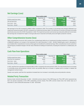# **Net Earnings (Loss)**

|                               | Three months ended   |                       |                      | Year ended           |                      |  |
|-------------------------------|----------------------|-----------------------|----------------------|----------------------|----------------------|--|
| $($000s$ except $$per share)$ | December 31,<br>2021 | September 30,<br>2021 | December 31,<br>2020 | December 31,<br>2021 | December 31,<br>2020 |  |
| Net earnings (loss)           | 16,333               | 7,296                 | (11,071)             | 179,299              | (306, 889)           |  |
| $$$ per share - basic         | 0.48                 | 0.22                  | (0.33)               | 5.32                 | (9.19)               |  |
| \$ per share - diluted        | 0.46                 | 0.21                  | (0.33)               | 5.16                 | (9.19)               |  |

Net earnings for the 2021 increased by \$486.2 million compared to 2020. The increase in net earnings was primarily attributed to an impairment reversal recorded in Q2 2021, compared to an impairment provision taken in Q1 2020 due to a recovery of forward commodity benchmark prices since the COVID-19 pandemic in 2020. The impairment provision and reversal was reduced by deferred income taxes. Net earnings also increased from higher oil and gas sales due to improved commodity prices and higher production volumes.

# **Other Comprehensive Income (loss)**

Other comprehensive income for 2021 consists of an unrealized gain before tax on investments (including investment in a related party) of \$598,000 relating to an increase in the investments' fair value (December 31, 2020 – \$7,000). Realized gains result in decreases to accumulated other comprehensive income as these gains are transferred to retained earnings. Other comprehensive income varies from net earnings by unrealized changes in the fair value of Bonterra's holdings of investments, including the investment in a related party, net of tax.

# **Cash Flow from Operations**

|                               |                      | Three months ended    | Year ended           |                      |                      |
|-------------------------------|----------------------|-----------------------|----------------------|----------------------|----------------------|
| $($000s$ except $$per share)$ | December 31,<br>2021 | September 30,<br>2021 | December 31,<br>2020 | December 31.<br>2021 | December 31,<br>2020 |
| Cash flow from operations     | 37,868               | 24,616                | (1,199)              | 96,103               | 32,073               |
| \$ per share - basic          | 1.11                 | 0.73                  | (0.04)               | 2.85                 | 0.96                 |
| \$ per share - diluted        | 1.07                 | 0.71                  | (0.04)               | 2.76                 | 0.96                 |

In 2021, cash flow from operations increased by \$64.0 million compared to the same period in 2020. This was primarily due to an increase in commodity prices and production volumes, which was partially offset by an increase in royalties and an increase in realized risk management contract losses.

Quarter-over-quarter, cash flow from operations increased due to an increase in commodity prices and production volumes.

# **Related Party Transaction**

Bonterra holds 1,034,523 (December 31, 2020 – 1,034,523) common shares in Pine Cliff Energy Ltd. ("Pine Cliff") which represents less than one percent ownership in Pine Cliff's outstanding common shares. Pine Cliff's common shares had a fair market value as of December 31, 2021 of \$703,000 (December 31, 2020 – \$233,000).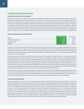# **Liquidity and Capital Resources**

#### **Net Debt to Cash Flow from Operations**

Bonterra continues to focus on reducing overall debt while managing its cash flow and capital expenditures. The Company's net debt to twelve-month trailing cash flow ratio as of December 31, 2021 was 2.8 to 1 times (versus 9.8 to 1 times at December 31, 2020). The decreased net debt to cash flow ratio is the result of an increase in the Company's twelve-month trailing cash flow that is primarily due to the economic recovery since the effect of the COVID-19 pandemic on crude oil prices and higher production volumes. Compared to the first twelve months of 2020, net debt at December 31, 2021 decreased by \$48.4 million due to a 200 percent increase in cash flow from increased commodity prices and production volumes and a \$7 million flow through share issuance. In addition, the fair value of the warrants of \$9.8 million and \$2.2 million of issuance costs reduced the carrying value of the subordinated debentures issued which reduced net debt. Bonterra will continue to assess its capital expenditures compared to cash flow from operations on a quarterly basis.

#### **Working Capital Deficiency and Net debt**

| (\$000s)                   | December 31,<br>2021 | December 31,<br>2020 |
|----------------------------|----------------------|----------------------|
| Working capital deficiency | 172,552              | 287,412              |
| Subordinated debt          | 94,627               | 28,161               |
| Net Debt                   | 267,179              | 315,573              |

Net debt is a combination of subordinated debt and working capital. As of December 31, 2021, the Company's bank facility has a maturity date of May 31, 2022 and is recorded as a current liability. Bonterra actively monitors its credit availability and working capital to ensure that it has sufficient available funds to meet its financial requirements as they come due. Any of these events present risks that could affect Bonterra's ability to fund ongoing operations. If required, Bonterra will also consider short-term or long-term financing alternatives in order to meet its future liabilities.

Net debt for December 31, 2021 decreased by \$48.4 million compared to December 31, 2020 primarily due to increased cash flow with rising commodity prices and higher production volumes. The Company also raised \$46.5 million of new debt and equity financing from the issuance of \$39.5 million of unsecured subordinated debentures (excluding \$19.5 million of subordinated debentures issued to extinguish Subordinated Loans) and \$7 million flow through share issuance. With commodity prices remaining strong to date in 2022, the Company intends to continue its focus on reducing net debt. The fair value of the warrants of \$9.8 million and \$2.2 million of issuance costs reduced the carrying value of the subordinated debentures which reduced net debt. The difference between the carrying value and face value of the subordinated debentures will be accreted to face value over the life of the debenture. For additional information on subordinated debentures, see Note 13 of the December 31, 2021 audited annual financial statements.

Working capital is calculated as current assets less current liabilities. Included in the working capital deficiency as at December 31, 2021 is \$162.9 million of bank debt. On October 20, 2021 (the "Conversion Date"), \$7.5 million of the current subordinated promissory note and \$12.0 million of the due to related party loan were exchanged for long-term unsecured subordinated debentures plus warrants (for more information on the Subordinated Loans see Note 10 and 11 of the December 31, 2021 audited annual financial statements).

#### **Financial Risk Management**

Bonterra is exposed to market risk for the oil and gas produced by the Company. External factors beyond the Company's control may affect the marketability of oil and gas produced. Oil prices are affected by worldwide supply and demand fundamentals and access to market, while natural gas prices are affected by North American supply and demand fundamentals. In order to manage commodity risk, in 2021 the Company executed physical delivery sales contracts, which are considered normal sales contracts and are not recorded at fair value in the financial statements, and in addition executed risk management contracts which are not considered normal sales contracts and are recorded at fair value. The Company has contracts in place on approximately 30 percent of its estimated oil and gas production for the next twelve months. The Company relies on its cash flow, access to equity markets and bank financing to support its operations and capital program. Bonterra uses these futures contracts to hedge its exposure to the potential adverse impact of commodity price volatility and provide a measure of stability to Bonterra's capital development program. For more information on physical delivery and risk management contracts in place see Note 20 of the December 31, 2021 audited annual financial statements.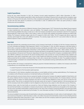#### **Capital Expenditures**

During the year ended December 31, 2021, the Company incurred capital expenditures of \$67.3 million (December 31, 2020 – \$43.7 million). Of the total capital invested, \$52.5 million was directed to the drilling of 39 gross (35.8 net) wells and the completion, equip and tie-in of 37 gross (33.6 net) wells, of which four of the completed and equipped wells were drilled in 2020. Of the wells drilled in 2021, 33 (29.9 net) have been placed on production as of December 31, 2021. An additional \$14.7 million was spent primarily on related infrastructure and recompletions.

#### **Decommissioning Liabilities**

Bonterra participates in the province of Alberta's Voluntary Closure Target program ("VCT") (formerly the Area-Based Closure program) to reduce abandonment and reclamation costs and liabilities. This program provides numerous incentives to efficiently manage decommissioning liabilities that reduce overall cost. In 2021, the Company exceeded its annual commitment under the VCT program of approximately \$3.3 million by \$1.2 million or \$4.5 million in total on its inactive wells, pipelines and facilities excluding any Alberta SRP funding. The Company's mandatory target under the VCT program for 2022 is \$3.7 million. The VCT program also sets an upper limit voluntary spend target that comes with additional incentives. The voluntary target under the VCT is set at \$3.9 million for 2022 and Bonterra expects to meet or exceed this amount.

#### **Bank Debt**

Bank debt represents the outstanding amounts drawn on the Company's bank facility. On October 20, 2021 the Company entered into its Fourth Amended and Restated Credit Agreement ("ARCA"). As at December 31, 2021, the ARCA represents a total bank facility of \$210.0 million, comprised of a \$185.0 million syndicated revolving credit facility and a \$25.0 million non-syndicated revolving facility. The amount drawn under the total bank facility at December 31, 2021 was \$162.9 million (December 31, 2020 – \$252.3 million). The amounts borrowed under the total bank facility bear interest at a floating rate based on the applicable Canadian prime rate or Banker's Acceptance rate, plus between 2.00 percent and 7.00 percent, depending on the type of borrowing and the Company's consolidated debt to EBITDA ratio. EBITDA is defined as net income for the period excluding finance costs, provision for current and deferred taxes, depletion and depreciation, share-option compensation, gain or loss on sale of assets and impairment of assets. The terms of the total revolving bank facility provide that the loan facility is revolving to May 31, 2022, with a maturity date of November 30, 2022. The available lending limit of the bank facility is scheduled to be reviewed before May 31, 2022. The syndicated revolving credit facility has a \$10.0 million reduction on March 31, 2022.

Under the ARCA, the Company is restricted from making any payment of dividend distributions. In addition, the Company is also limited to expenditures on an annual basis which cannot:

- exceed 110 percent or be less than 90 percent of the forecasted decommissioning expenditures settled; and
- exceed 110 percent of the forecasted capital expenses.

As at December 31, 2021, Bonterra classified its bank debt as a current liability and had a working capital deficiency. The Company was in compliance with all financial covenants on its total bank facility as at December 31, 2021.

After examining the economic factors that are causing the liquidity risk facing the Company, the judgment applied to these factors, and the various initiatives that the Company has and will undertake to strengthen its financial position, the Company believes it will have sufficient liquidity to support its ongoing operations and meet its current financial obligations as they come due for at least the next twelve months. There can be no assurance that the next bank review will not result in a material reduction in the borrowing base, and that the necessary funds will be available to meet its obligations as they become due, subject to other alternative sources of financing.

Advances drawn under the bank facility are secured by a fixed and floating charge debenture over the assets of the Company. In the event the bank facility is not extended or renewed, amounts drawn under the facility would be due and payable on the maturity date. The size of the committed credit facilities is based primarily on the value of the Company's producing petroleum and natural gas assets and related tangible assets as determined by the lenders. For more information see Note 11 of the December 31, 2021 audited annual financial statements.

The amount available for borrowing under the bank facility is reduced by outstanding letters of credit. Letters of credit totaling \$1.4 million were issued as at December 31, 2021 (December 31, 2020 – \$1.3 million). Security for the bank facility consists of various floating demand debentures totaling \$750 million (December 31, 2020 – \$750 million) over all of the Company's assets and a general security agreement with first ranking over all personal and real property.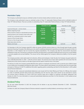#### **Shareholders' Equity**

The Company is authorized to issue an unlimited number of common shares without nominal or par value.

The Company is also authorized to issue an unlimited number of Class "A" redeemable Preferred Shares and an unlimited number of Class "B" Preferred Shares. There are currently no outstanding Class "A" redeemable Preferred Shares or Class "B" Preferred Shares.

|                                                            | <b>December 31, 2021</b> |                             | December 31, 2020 |                    |
|------------------------------------------------------------|--------------------------|-----------------------------|-------------------|--------------------|
| Issued and fully paid - common shares                      | <b>Number</b>            | <b>Amount</b><br>$(S$ 000s) | Number            | Amount<br>(\$000s) |
| Balance, beginning of year                                 | 33,511,316               | 765,415                     | 33,388,796        | 765,276            |
| Shares issued for interest on subordinated promissory note | 118,896                  | 414                         | 122,520           | 139                |
| Issued pursuant to the Company's share option plan         | 183,740                  | 378                         |                   |                    |
| Transfer from contributed surplus to share capital         |                          | 168                         |                   |                    |
| Issuance of flow through shares                            | 1,187,000                | 7,003                       |                   |                    |
| Premium on flow through shares                             |                          | (356)                       |                   |                    |
| Share issue costs, net of tax                              |                          | (241)                       |                   |                    |
| Balance, end of year                                       | 35,000,952               | 772,781                     | 33,511,316        | 765,415            |

On December 9, 2021, the Company raised \$7.0 million by issuing 1,187,000 common shares on a flow through basis through a private placement financing. Proceeds of the offering are to be used for qualifying development expenditures during the first quarter of 2022. At December 31, 2021, Bonterra had not incurred the required expenditures. The Company has filed the renouncement documents subsequent to year-end. The premium component of the flow-through shares is calculated as \$356,000 and is set up as a current liability in accounts payable and accrued liabilities. This amount will be netted against the Company's deferred tax liability in the first quarter of 2022.

The Company provides a stock option plan for its directors, officers and employees. Under the plan, the Company may grant options for up to 3,500,095 (December 31, 2020 – 3,351,131) common shares. The exercise price of each option granted will not be lower than the market price of the common shares on the date of grant and the option's maximum term is five years.

On February 18, 2022, the Company granted 965,000 share options to employees and directors with an exercise price of \$9.00, based on the market price immediately preceding the date of grant. The share options vests between one and three years from the grant date and expire on February 18, 2027. For additional information regarding options outstanding, see Note 16 of the December 31, 2021 audited annual financial statements.

On October 20, 2021, unsecured subordinated debentures were issued with the Initial Offering and Follow On Offering, that resulted in a total of 3,304,000 warrants being issued and outstanding over the next four years. Each warrant can be exercised to acquire one common share of Bonterra at a price of \$7.75 per common share and is subject to customary anti-dilution adjustment until October 20, 2025. For more information on unsecured subordinated debentures see Note 13 of the December 31, 2021 audited annual financial statements.

# **Dividend Policy**

For the year ended December 31, 2021, the Company did not declare or pay any dividends (December 31, 2020 – \$1,002,000) (\$0.03 per share).

On March 10, 2020, the Company's Board of Directors elected to suspend its monthly dividend, commencing on April 1, 2020.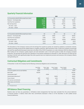# **Quarterly Financial Information**

|                                                    | 2021   |        |                |         |
|----------------------------------------------------|--------|--------|----------------|---------|
| For the periods ended (\$000s except \$ per share) | Q4     | Q3     | Q <sub>2</sub> | Q1      |
| Revenue - oil and gas sales                        | 79,202 | 64,457 | 59,163         | 48,794  |
| Cash flow from operations                          | 37,868 | 24,616 | 18,874         | 14,745  |
| Net earnings (loss)                                | 16,333 | 7,296  | 157,354        | (1,684) |
| Per share - basic                                  | 0.48   | 0.22   | 4.68           | (0.05)  |
| Per share - diluted                                | 0.46   | 0.21   | 4.55           | (0.05)  |

| For the periods ended (\$000s except \$ per share) | Q4       | Q3      | Q <sub>2</sub> | Q1         |
|----------------------------------------------------|----------|---------|----------------|------------|
| Revenue - oil and gas sales                        | 31,761   | 29,155  | 22,171         | 38,555     |
| Cash flow from operations                          | (1,199)  | 6,370   | 4,429          | 22,473     |
| Net earnings (loss)                                | (11,071) | (5,211) | (5,954)        | (284, 653) |
| Per share - basic                                  | (0.33)   | (0.16)  | (0.18)         | (8.53)     |
| Per share - diluted                                | (0.33)   | (0.16)  | (0.18)         | (8.53)     |

The fluctuations in the Company's revenue and net earnings from quarter-to-quarter are caused by variations in production volumes, realized commodity pricing and the related impact on royalties, production, G&A and finance costs. In 2020, the Company's net earnings and cash flow significantly decreased mainly due to the effect of the COVID-19 pandemic on crude oil demand. With the utilization of the BDC funding for the Company's capital program and well reactivation costs in the fourth quarter of 2020, the Company increased production, net earnings and cash flow from operations in the quarters subsequent to December 31, 2020. Net loss for Q1 2020 and net earnings in Q2 2021 were significantly higher than other quarters due to an impairment provision and reversal on the Company's Alberta cash generating unit.

# **Contractual Obligations and Commitments**

At December 31, 2021, the Company has the following contractual obligations and commitments:

|                                          | Less than                | Over 1 year              | Over 3 years | Over 5 years |         |
|------------------------------------------|--------------------------|--------------------------|--------------|--------------|---------|
| (\$000s)                                 | 1 year                   | to 3 years               | to 5 years   | to 7 years   | Total   |
| Accounts payable and accrued liabilities | 35,194                   | $\overline{\phantom{a}}$ |              |              | 35,194  |
| Bank Debt                                | 162,945                  |                          |              |              | 162,945 |
| Subordinated debt <sup>(1)</sup>         |                          | 47,029                   |              |              | 47,029  |
| Subordinated debentures <sup>(1)</sup>   | $\overline{\phantom{a}}$ |                          | 59,000       |              | 59,000  |
| Future interest                          | 8.191                    | 17,263                   | 4,204        |              | 29,657  |
| Firm service commitments                 | 489                      | 805                      | 220          | 15           | 1,529   |
| Office lease commitments                 | 526                      | 463                      | 498          | 988          | 2,475   |
| Total                                    | 207,345                  | 65,560                   | 63,922       | 1,003        | 337,829 |

(1) Principal amount.

# **Off-Balance Sheet Financing**

Bonterra does not have any guarantees or off-balance sheet arrangements that have been excluded from the annual statement of financial position or balance sheet other than commitments disclosed in Note 21 of the December 31, 2021 audited annual financial statements.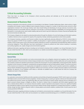# **Critical Accounting Estimates**

There have been no changes to the Company's critical accounting policies and estimates as of the period ended in the financial statements.

# **Assessment of Business Risk**

Bonterra's exploration and production activities are concentrated in the Western Canadian Sedimentary Basin, where activity is highly competitive and includes a variety of different sized companies. Bonterra is subject to a number of risks that are also common to other organizations involved in the oil and gas industry. Such risks include finding and developing oil and gas reserves at economic costs, estimating amounts of recoverable reserves, production of oil and gas in commercial quantities, marketability of oil and gas produced, fluctuations in commodity prices, stock market volatility, debt service which may limit market price of shares, financial and liquidity risks and environmental and safety risks.

The Company mitigates its risk related to producing hydrocarbons through the utilization of current technology and information systems. In addition, Bonterra strives to operate the majority of its properties, thereby maintaining operational control where possible.

The Company's business, operations and financial condition has been significantly adversely affected by COVID-19. Actions taken to reduce the spread of COVID-19 have resulted in volatility and disruptions in regular business operations, supply chains and financial markets. COVID-19 also poses a risk on the financial capacity of Bonterra's contract counterparties and potentially their ability to perform contractual obligations. These difficulties have been exacerbated in Canada by political and other actions resulting in uncertainty surrounding regulatory, tax, royalty changes and environmental regulation.

Additional information regarding risk factors including, but not limited to, business risks is available in our Annual Information Form for the year ended December 31, 2021, which can be accessed on our website www.bonterraenergy.com or on SEDAR at www.sedar.com.

# **Environmental Risk**

#### **General Risks**

Oil and gas exploration and production can involve environmental risks such as litigation, physical and regulatory risks. Physical risks include the pollution of the environment, climate change and destruction of natural habitat, as well as safety risks such as personal injury. The Company conducts its operations and ensures to protect the environment, its various stakeholders, and the general public. Bonterra maintains current insurance coverage for comprehensive and general liability as well as limited pollution liability. The amount and terms of this insurance are reviewed on an ongoing basis and adjusted as necessary to reflect current corporate requirements, availability, as well as industry standards and government regulations. Without such insurance, and if the Company becomes subject to environmental liabilities, the payment of such liabilities could reduce or eliminate its available funds or could exceed the funds the Company has available and result in financial distress.

#### **Climate Change Risks**

Our exploration and production facilities and other operations and activities emit greenhouse gasses ("GHG") which require us to comply with federal and/or provincial GHG emissions legislation. Climate change policy is evolving at regional, national and international levels, and political and economic events may significantly affect the scope and timing of climate change measures that are ultimately put in place to prevent climate change or mitigate our effects. The direct or indirect costs of compliance with GHG-related regulations may have a material adverse effect on our business, financial condition, results of operations and prospects. Some of our significant facilities may ultimately be subject to future regional, provincial and/or federal climate change regulations to manage GHG emissions. In addition, climate change has been linked to long-term shifts in climate patterns and extreme weather conditions both of which pose the risk of causing operational difficulties.

Additional information regarding risk factors including, but not limited to, environmental risks is available in our Annual Information Form for the year ended December 31, 2021, which can be accessed on our website www.bonterraenergy.com or on SEDAR at www.sedar.com.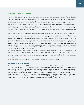# **Forward-Looking Information**

Certain statements contained in this MD&A include statements which contain words such as "anticipate", "could", "should", "expect", "seek", "may", "intend", "likely", "will", "believe" and similar expressions, relating to matters that are not historical facts, and such statements of our beliefs, intentions and expectations about development, results and events which will or may occur in the future, constitute "forward-looking information" within the meaning of applicable Canadian securities legislation and are based on certain assumptions and analysis made by us derived from our experience and perceptions. Forward-looking information in this MD&A includes, but is not limited to: expected cash provided by continuing operations; cash dividends; future capital expenditures, including the amount and nature thereof; oil and natural gas prices and demand; expansion and other development trends of the oil and gas industry; business strategy and outlook; expansion and growth of our business and operations; and maintenance of existing customer, supplier and partner relationships; supply channels; accounting policies; credit risks; climate change risks; cyber security; impact of COVID-19; and other such matters.

All such forward-looking information is based on certain assumptions and analyses made by us in light of our experience and perception of historical trends, current conditions and expected future developments, as well as other factors we believe are appropriate in the circumstances. The risks, uncertainties, and assumptions are difficult to predict and may affect operations, and may include, without limitation: foreign exchange fluctuations; equipment and labour shortages and inflationary costs; general economic conditions; industry conditions; changes in applicable environmental, taxation and other laws and regulations as well as how such laws and regulations are interpreted and enforced; the ability of oil and natural gas companies to raise capital or maintain its syndicated bank facility; the effect of weather conditions on operations and facilities; the existence of operating risks; volatility of oil and natural gas prices; oil and gas product supply and demand; risks inherent in the ability to generate sufficient cash flow from operations to meet current and future obligations; increased competition; stock market volatility; opportunities available to or pursued by us; and other factors, many of which are beyond our control. The foregoing factors are not exhaustive.

Actual results, performance or achievements could differ materially from those expressed in, or implied by, this forward-looking information and, accordingly, no assurance can be given that any of the events anticipated by the forward-looking information will transpire or occur, or if any of them do, what benefits will be derived therefrom. Except as required by law, Bonterra disclaims any intention or obligation to update or revise any forward-looking information, whether as a result of new information, future events or otherwise.

The forward-looking information contained herein is expressly qualified by this cautionary statement.

#### **Disclosure Controls and Procedures**

Disclosure controls and procedures ("DC&P"), as defined in National Instrument 52-109 Certification of Disclosure in Issuers' Annual and Interim Filings, are designed to provide reasonable assurance that information required to be disclosed in the Company's annual filings, interim fillings or other reports filed, or submitted by the Company under securities legislation is recorded, processed, summarized and reported within the time periods specified under securities legislation and include controls and procedures designed to ensure that information required to be disclosed is accumulated and communicated to management, including the Chief Executive Officer and Chief Financial Officer, as appropriate, to allow timely decisions regarding required disclosure. The Chief Executive Officer and Chief financial Officer of Bonterra evaluated the effectiveness of the design and operation of the Company's DC&P. Based on that evaluation, the Chief Executive Officer and the Chief Financial Officer concluded that Bonterra's DC&P were effective at December 31, 2021.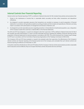# **Internal Controls Over Financial Reporting**

Internal control over financial reporting ("ICFR"), as defined in National Instrument 52-109, includes those policies and procedures that:

- 1. Pertain to the maintenance of records that, in reasonable detail, accurately and fairly reflect transactions and dispositions of Bonterra;
- 2. Are designed to provide reasonable assurance that transactions are recorded as necessary to permit preparation of financial statements in accordance with generally accepted accounting principles and that receipts and expenditures of Bonterra are being made in accordance with authorizations of management and Directors of Bonterra; and
- 3. Are designed to provide reasonable assurance regarding prevention or timely detection of authorized acquisition, use, or disposition of the Company's assets that could have a material effect on the financial statements.

The CEO and CFO have designed, or caused to be designed under their supervision, ICFR as defined in National Instrument 52-109 of the Canadian Securities Administrators, in order to provide reasonable assurance regarding the reliability of financial reporting and the preparation of financial statements for external purposes in accordance with IFRS. The control framework the Company used to design its ICFR was in accordance with the Committee of Sponsoring Organizations of the Treadway Commission (COSO 2013).

The Company's CEO and CFO have evaluated, or caused to be evaluated under their supervision, the effectiveness of the Company's internal controls over financial reporting at the financial period end of the Company and concluded that such internal controls over financial reporting are effective as of December 31, 2021.

It should be noted that while Bonterra's CEO and CFO believe that the Company's internal controls and procedures provide a reasonable level of assurance and are effective; they do not expect that these controls will prevent all errors and fraud.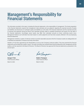# **Management's Responsibility for Financial Statements**

The information provided in this report, including the financial statements, is the responsibility of management. The timely preparation of the financial statements requires that management make estimates and use judgment regarding the reported amounts of assets and liabilities and disclosures of contingent assets and liabilities as at the date of the financial statements and the reported amounts of revenues and expenses during the period. Such estimates primarily relate to unsettled transactions and events as at the date of the financial statements. Accordingly, actual results may differ from estimated amounts as future confirming events occur. Management believes such estimates have been based on careful judgments and have been properly reflected in the accompanying financial statements.

Management maintains a system of internal controls to provide reasonable assurance that the Company's assets are safeguarded and to facilitate the preparation of relevant and timely information.

Deloitte LLP has been appointed by the Shareholders to serve as the Company's external auditors. They have examined the financial statements and provided their auditor's report. The audit committee has reviewed these financial statements with management and the auditors, and has reported to the Board of Directors. The Board of Directors has approved the financial statements as presented in this annual report.

**George F. Fink** Chief Executive Officer March 9, 2022

Lott Shayson

**Robb D. Thompson** Chief Financial Officer March 9, 2022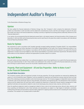# **Independent Auditor's Report**

To the Shareholders of Bonterra Energy Corp.

# **Opinion**

We have audited the financial statements of Bonterra Energy Corp. (the "Company"), which comprise the statements of financial position as at December 31, 2021 and 2020, and the statements comprehensive income, cash flow and changes in equity for the years then ended, and notes to the financial statements, including a summary of significant accounting policies (collectively referred to as the "financial statements").

In our opinion, the accompanying financial statements present fairly, in all material respects, the financial position of the Company as at December 31, 2021 and 2020, and its financial performance and its cash flows for the years then ended in accordance with International Financial Reporting Standards ("IFRS").

# **Basis for Opinion**

We conducted our audit in accordance with Canadian generally accepted auditing standards ("Canadian GAAS"). Our responsibilities under those standards are further described in the Auditor's Responsibilities for the Audit of the Financial Statements section of our report. We are independent of the Company in accordance with the ethical requirements that are relevant to our audit of the financial statements in Canada, and we have fulfilled our other ethical responsibilities in accordance with these requirements. We believe that the audit evidence we have obtained is sufficient and appropriate to provide a basis for our opinion.

# **Key Audit Matters**

Key audit matters are those matters that, in our professional judgment, were of most significance in our audit of the financial statements for the year ended December 31, 2021. These matters were addressed in the context of our audit of the financial statements as a whole, and in forming our opinion thereon, and we do not provide a separate opinion on these matters.

# *Property, Plant and Equipment – Oil and Gas Properties – Refer to Notes 4 and 7 to the Financial Statements*

#### **Key Audit Matter Description**

The Company's property, plant and equipment includes oil and gas properties. Oil and gas properties are measured by depleting the assets on a unit-of-production basis ("depletion") and are evaluated for impairment and impairment reversal using the future net cash flows of the underlying proved plus probable crude oil and natural gas reserves. The Company engages an independent reserve evaluator to estimate crude oil and natural gas reserves using estimates, assumptions and engineering data. The development of the Company's reserves and the related future net cash flows used to evaluate any impairment or impairment reversal requires management to make significant estimates and assumptions related to crude oil and natural gas prices, discount rates, reserves, and future costs.

Given the significant judgments made by management related to future crude oil and natural gas prices, discount rates, reserves, and future operating and development costs, these estimates and assumptions are subject to a high degree of estimation uncertainty. Auditing these estimates and assumptions required auditor judgement in applying audit procedures and in evaluating the results of those procedures. This resulted in an increased extent of audit effort.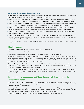#### **How the Key Audit Matter Was Addressed in the Audit**

Our audit procedures related to future crude oil and natural gas prices, discount rates, reserves, and future operating and development costs used to measure oil and gas properties included the following, among others:

- Evaluated future crude oil and natural gas prices by independently developing a reasonable range of forecasts based on reputable third-party forecasts and market data and comparing those to the future crude oil and natural gas prices selected by management.
- Evaluated the reasonableness of the discount rates by testing the source information underlying the determination of the discount rates and developing a range of independent estimates and comparing those to the discount rates selected by management.
- Evaluated the Company's independent reserve evaluator by examining reports and assessed their scope of work and findings; and assessing the competence, capability and objectivity by evaluating their relevant professional qualifications and experience.
- Evaluated the reasonableness of reserves by testing the source financial information underlying the reserves and comparing the reserve volumes to historical production volumes.
- Evaluated the reasonableness of future operating and development costs by testing the source financial information underlying the estimate, comparing future operating and development costs to historical results, and evaluating whether they are consistent with evidence obtained in other areas of the audit.
- Performed a retrospective review to evaluate management's ability to accurately forecast and to assess for indications of estimation bias over time.

## **Other Information**

Management is responsible for the other information. The other information comprises :

- Management's Discussion and Analysis
- The information, other than the financial statements and our auditor's report thereon, in the Annual Report.

Our opinion on the financial statements does not cover the other information and we do not and will not express any form of assurance conclusion thereon. In connection with our audit of the financial statements, our responsibility is to read the other information identified above and, in doing so, consider whether the other information is materially inconsistent with the financial statements or our knowledge obtained in the audit, or otherwise appears to be materially misstated.

We obtained Management's Discussion and Analysis prior to the date of this auditor's report. If, based on the work we have performed on this other information, we conclude that there is a material misstatement of this other information, we are required to report that fact in this auditor's report. We have nothing to report in this regard.

The Annual Report is expected to be made available to us after the date of the auditor's report. If, based on the work we will perform on this other information, we conclude that there is a material misstatement of this other information, we are required to report that fact to those charged with governance.

# **Responsibilities of Management and Those Charged with Governance for the Financial Statements**

Management is responsible for the preparation and fair presentation of the financial statements in accordance with IFRS, and for such internal control as management determines is necessary to enable the preparation of financial statements that are free from material misstatement, whether due to fraud or error.

In preparing the financial statements, management is responsible for assessing the Company's ability to continue as a going concern, disclosing, as applicable, matters related to going concern and using the going concern basis of accounting unless management either intends to liquidate the Company or to cease operations, or has no realistic alternative but to do so.

Those charged with governance are responsible for overseeing the Company's financial reporting process.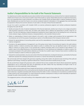# **Auditor's Responsibilities for the Audit of the Financial Statements**

Our objectives are to obtain reasonable assurance about whether the financial statements as a whole are free from material misstatement, whether due to fraud or error, and to issue an auditor's report that includes our opinion. Reasonable assurance is a high level of assurance, but is not a guarantee that an audit conducted in accordance with Canadian GAAS will always detect a material misstatement when it exists. Misstatements can arise from fraud or error and are considered material if, individually or in the aggregate, they could reasonably be expected to influence the economic decisions of users taken on the basis of these financial statements.

As part of an audit in accordance with Canadian GAAS, we exercise professional judgment and maintain professional skepticism throughout the audit. We also:

- Identify and assess the risks of material misstatement of the financial statements, whether due to fraud or error, design and perform audit procedures responsive to those risks, and obtain audit evidence that is sufficient and appropriate to provide a basis for our opinion. The risk of not detecting a material misstatement resulting from fraud is higher than for one resulting from error, as fraud may involve collusion, forgery, intentional omissions, misrepresentations, or the override of internal control.
- Obtain an understanding of internal control relevant to the audit in order to design audit procedures that are appropriate in the circumstances, but not for the purpose of expressing an opinion on the effectiveness of the Company's internal control.
- Evaluate the appropriateness of accounting policies used and the reasonableness of accounting estimates and related disclosures made by management.
- Conclude on the appropriateness of management's use of the going concern basis of accounting and, based on the audit evidence obtained, whether a material uncertainty exists related to events or conditions that may cast significant doubt on the Company's ability to continue as a going concern. If we conclude that a material uncertainty exists, we are required to draw attention in our auditor's report to the related disclosures in the financial statements or, if such disclosures are inadequate, to modify our opinion. Our conclusions are based on the audit evidence obtained up to the date of our auditor's report. However, future events or conditions may cause the Company to cease to continue as a going concern.
- Evaluate the overall presentation, structure and content of the financial statements, including the disclosures, and whether the financial statements represent the underlying transactions and events in a manner that achieves fair presentation.

We communicate with those charged with governance regarding, among other matters, the planned scope and timing of the audit and significant audit findings, including any significant deficiencies in internal control that we identify during our audit.

We also provide those charged with governance with a statement that we have complied with relevant ethical requirements regarding independence, and to communicate with them all relationships and other matters that may reasonably be thought to bear on our independence, and where applicable, related safeguards.

From the matters communicated with those charged with governance, we determine those matters that were of most significance in the audit of the financial statements of the current period and are therefore the key audit matters. We describe these matters in our auditor's report unless law or regulation precludes public disclosure about the matter or when, in extremely rare circumstances, we determine that a matter should not be communicated in our report because the adverse consequences of doing so would reasonably be expected to outweigh the public interest benefits of such communication.

The engagement partner on the audit resulting in this independent auditor's report is Christopher Gill.

Deloitte LLP

**Chartered Professional Accountants**

Calgary, Alberta March 9, 2022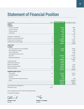# **Statement of Financial Position**

| As at (\$ 000s)                          | Note           | <b>December 31, 2021</b> | December 31, 2020 |
|------------------------------------------|----------------|--------------------------|-------------------|
| <b>ASSETS</b>                            |                |                          |                   |
| <b>CURRENT</b>                           |                |                          |                   |
| Accounts receivable                      |                | 24,215                   | 12,891            |
| Crude oil inventory                      |                | 988                      | 598               |
| Prepaid expenses                         |                | 5,922                    | 3,920             |
| Investments                              |                | 188                      | 62                |
|                                          |                | 31,313                   | 17,471            |
| Investment in related party              | 5              | 703                      | 233               |
| Exploration and evaluation assets        | 6              | 1,994                    | 373               |
| Property, plant and equipment            | $\overline{7}$ | 902,850                  | 704,921           |
| Investment tax credit receivable         | 15             | 8,861                    | 8,861             |
|                                          |                | 945,721                  | 731,859           |
| <b>LIABILITIES</b>                       |                |                          |                   |
| <b>CURRENT</b>                           |                |                          |                   |
| Accounts payable and accrued liabilities | 8              | 35,194                   | 28,229            |
| Risk management contract                 | 20             | 4,567                    | 3,599             |
| Due to related party                     | 9              |                          | 12,366            |
| Subordinated promissory note             | 10             |                          | 7,604             |
| Bank debt                                | 11             | 162,945                  | 252,255           |
| Deferred consideration                   |                | 1,159                    | 830               |
|                                          |                | 203,865                  | 304,883           |
| Subordinated debt                        | 12             | 47,268                   | 28,161            |
| Subordinated debentures                  | 13             | 47,359                   |                   |
| Deferred consideration                   |                | 10,089                   | 11,709            |
| Decommissioning liabilities              | 14             | 135,815                  | 137,002           |
| Deferred tax liability                   | 15             | 109,306                  | 53,471            |
|                                          |                | 553,702                  | 535,226           |
| <b>SHAREHOLDERS' EQUITY</b>              |                |                          |                   |
| Share capital                            | 16             | 772,781                  | 765,415           |
| Contributed surplus                      |                | 31,599                   | 30,672            |
| Warrants                                 | 13             | 7,265                    |                   |
| Accumulated other comprehensive loss     |                | (221)                    | (750)             |
| Deficit                                  |                | (419, 405)               | (598, 704)        |
|                                          |                | 392,019                  | 196,633           |
|                                          |                | 945,721                  | 731,859           |
| Commitments and contingencies            | 21             |                          |                   |

Subsequent events 16, 20

See accompanying notes to these financial statements.

On behalf of the Board:

**George F. Fink** Director

Notes

**Rodger A. Tourigny**  Director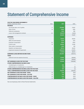# **Statement of Comprehensive Income**

| <b>FOR THE YEAR ENDED DECEMBER 31</b>                  |                |            |                |
|--------------------------------------------------------|----------------|------------|----------------|
| (\$000s, except \$ per share)                          | <b>Note</b>    | 2021       | 2020           |
| <b>REVENUE</b>                                         |                |            |                |
| Oil and gas sales, net of royalties                    | 17             | 225,866    | 113,821        |
| Other income                                           | 18             | 6,680      | 1,950          |
| Deferred consideration                                 |                | 1,292      | 889            |
| Loss on risk management contracts                      | 20             | (18, 357)  | (3,063)        |
|                                                        |                | 215,481    | 113,597        |
| <b>EXPENSES</b>                                        |                |            |                |
| Production                                             |                | 70,670     | 58,525         |
| Office and administration                              |                | 4,325      | 5,911          |
| Employee compensation                                  | 22             | 5,924      | 3,903          |
| Finance costs                                          | 19             | 26,909     | 21,490         |
| Share-option compensation                              |                | 1,095      | 438            |
| Depletion and depreciation                             | $\overline{7}$ | 76,791     | 59,225         |
| Impairment (reversal of impairment)                    | $\overline{7}$ | (203, 197) | 331,678        |
|                                                        |                | (17, 483)  | 481,170        |
| <b>EARNINGS (LOSS) BEFORE INCOME TAXES</b>             |                | 232,964    | (367,573)      |
| <b>TAXES</b>                                           |                |            |                |
| Deferred income tax expense (recovery)                 | 15             | 53,665     | (60, 684)      |
|                                                        |                | 53,665     | (60, 684)      |
| <b>NET EARNINGS (LOSS) FOR THE YEAR</b>                |                | 179,299    | (306, 889)     |
| <b>OTHER COMPREHENSIVE INCOME (LOSS)</b>               |                |            |                |
| Unrealized gain on investments                         |                | 598        | $\overline{7}$ |
| Deferred taxes on unrealized gain on investments       |                | (69)       | (9)            |
| OTHER COMPREHENSIVE INCOME (LOSS) FOR THE YEAR         |                | 529        | (2)            |
| TOTAL COMPREHENSIVE INCOME (LOSS) FOR THE YEAR         |                | 179,828    | (306, 891)     |
| <b>NET EARNINGS (LOSS) PER SHARE - BASIC</b>           | 16             | 5.32       | (9.19)         |
| <b>NET EARNINGS (LOSS) PER SHARE - DILUTED</b>         | 16             | 5.16       | (9.19)         |
| <b>COMPREHENSIVE INCOME (LOSS) PER SHARE - BASIC</b>   | 16             | 5.33       | (9.19)         |
| <b>COMPREHENSIVE INCOME (LOSS) PER SHARE - DILUTED</b> | 16             | 5.17       | (9.19)         |

See accompanying notes to these financial statements.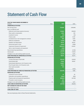# **Statement of Cash Flow**

| <b>FOR THE YEARS ENDED DECEMBER 31</b><br>(\$000s) | <b>Note</b>    | 2021       | 2020       |
|----------------------------------------------------|----------------|------------|------------|
| <b>OPERATING ACTIVITIES</b>                        |                |            |            |
| Net earnings (loss)                                |                | 179,299    | (306, 889) |
| Items not affecting cash                           |                |            |            |
| Deferred income taxes expense (recovery)           |                | 53,665     | (60, 684)  |
| Share-option compensation                          |                | 1,095      | 438        |
| Investment income                                  |                | (67)       | (50)       |
| Finance costs                                      | 19             | 26,909     | 21,491     |
| Unrealized loss on risk management contracts       | 20             | 968        | 3,465      |
| Deferred consideration                             |                | (1, 292)   | (889)      |
| Depletion and depreciation                         | $\overline{7}$ | 76,791     | 59,225     |
| Government grant in-kind                           | 22             | (5,901)    | (1,689)    |
| Impairment (reversal of impairment)                |                | (203, 197) | 331,678    |
| Gain on sale of property and equipment             |                | (225)      |            |
| Decommissioning expenditures                       | 14             | (4, 496)   | (2,706)    |
| Interest paid                                      | 19             | (21, 217)  | (17,587)   |
| Changes in non-cash working capital accounts       | 19             | (6, 229)   | 6,270      |
| <b>CASH PROVIDED BY OPERATING ACTIVITIES</b>       |                | 96,103     | 32,073     |
| <b>FINANCING ACTIVITIES</b>                        |                |            |            |
| Increase (decrease) of bank debt                   |                | (89, 310)  | (20, 810)  |
| Subordinated debt                                  |                | 17,000     | 28,000     |
| Subordinated debentures, net of issuance costs     |                | 36,887     |            |
| Flow through shares, net of issuance costs         |                | 6,690      |            |
| Stock option proceeds                              |                | 378        |            |
| <b>Dividends</b>                                   |                |            | (1,002)    |
| CASH PROVIDED BY (USED IN) FINANCING ACTIVITIES    |                | (28, 355)  | 6,188      |
| <b>INVESTING ACTIVITIES</b>                        |                |            |            |
| Investment income received                         |                | 67         | 50         |
| Exploration and evaluation expenditures            | 6              | (1,621)    | (959)      |
| Property, plant and equipment expenditures         | $\overline{7}$ | (65, 661)  | (42,769)   |
| Proceeds on sale of property                       |                | 225        |            |
| Changes in non-cash working capital accounts       | 19             | (758)      | 5,417      |
| <b>CASH USED IN INVESTING ACTIVITIES</b>           |                | (67, 748)  | (38, 261)  |
| <b>NET CHANGE IN CASH IN THE YEAR</b>              |                |            |            |
| Cash, beginning of year                            |                |            |            |
| <b>CASH, END OF YEAR</b>                           |                |            |            |

See accompanying notes to these financial statements.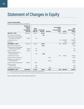# **Statement of Changes in Equity**

#### **FOR THE YEARS ENDED**

(\$ 000s, except number of shares outstanding)

|                                                            | <b>Numbers of</b><br>Common<br><b>Shares</b><br>Outstanding<br>(Note 16) | <b>Share</b><br>Capital<br>(Note 16) | <b>Contributed</b><br>Surplus <sup>(1)</sup> | <b>Warrants</b> | <b>Accumulated</b><br>Other<br>Comprehensive<br>Loss <sup>(2)</sup> | <b>Deficit</b> | <b>Total</b><br>Shareholders'<br><b>Equity</b> |
|------------------------------------------------------------|--------------------------------------------------------------------------|--------------------------------------|----------------------------------------------|-----------------|---------------------------------------------------------------------|----------------|------------------------------------------------|
| <b>JANUARY 1, 2020</b>                                     | 33,388,796                                                               | 765,276                              | 30,234                                       |                 | (748)                                                               | (290, 813)     | 503,949                                        |
| Share-option compensation                                  |                                                                          |                                      | 438                                          |                 |                                                                     |                | 438                                            |
| Shares issued for subordinated<br>promissory note interest | 122,520                                                                  | 139                                  |                                              |                 |                                                                     |                | 139                                            |
| Comprehensive loss                                         |                                                                          |                                      |                                              |                 | (2)                                                                 | (306, 889)     | (306, 891)                                     |
| <b>Dividends</b>                                           |                                                                          |                                      |                                              |                 |                                                                     | (1,002)        | (1,002)                                        |
| <b>DECEMBER 31, 2020</b>                                   | 33,511,316                                                               | 765,415                              | 30,672                                       |                 | (750)                                                               | (598, 704)     | 196,633                                        |
| Share-option compensation                                  |                                                                          |                                      | 1,095                                        |                 |                                                                     |                | 1,095                                          |
| Shares issued for subordinated<br>promissory note interest | 118,896                                                                  | 414                                  |                                              |                 |                                                                     |                | 414                                            |
| Exercise of options                                        | 183,740                                                                  | 378                                  |                                              |                 |                                                                     |                | 378                                            |
| Transfer to share capital on<br>exercise of options        |                                                                          | 168                                  | (168)                                        |                 |                                                                     |                |                                                |
| Comprehensive income                                       |                                                                          |                                      |                                              |                 | 529                                                                 | 179,299        | 179,828                                        |
| Issuance of warrants (Note 13)                             |                                                                          |                                      |                                              | 9,810           |                                                                     |                | 9,810                                          |
| Deferred tax on issuance of<br>warrants (Note 13)          |                                                                          |                                      |                                              | (2,259)         |                                                                     |                | (2,259)                                        |
| Issuance of flow through shares                            | 1,187,000                                                                | 7,003                                |                                              |                 |                                                                     |                | 7,003                                          |
| Premium on flow<br>through shares                          |                                                                          | (356)                                |                                              |                 |                                                                     |                | (356)                                          |
| Share issue costs net of tax                               |                                                                          | (241)                                |                                              | (286)           |                                                                     |                | (527)                                          |
| <b>DECEMBER 31, 2021</b>                                   | 35,000,952                                                               | 772,781                              | 31,599                                       | 7,265           | (221)                                                               | (419, 405)     | 392,019                                        |

(1) All amounts reported in Contributed Surplus relate to share-option compensation.

(2) Accumulated other comprehensive income is comprised of unrealized gains and losses on investments fair value through other comprehensive income.

See accompanying notes to these financial statements.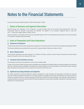# **Notes to the Financial Statements**

As at and for the years ended December 31, 2021 and December 31, 2020.

## **1. Nature of Business and Segment Information**

Bonterra Energy Corp. ("Bonterra" or the "Company") is a public company listed on the Toronto Stock Exchange (the "TSX") and incorporated under the Business Corporations Act (Alberta). The address of the Company's registered office is Suite 901, 1015 - 4<sup>th</sup> Street SW, Calgary, Alberta, Canada, T2R 1J4.

Bonterra operates in one industry and has only one reportable segment which is the development and production of oil and natural gas in the Western Canadian Sedimentary Basin.

## **2. Basis of Preparation and Future Operations**

#### **a) Statement of Compliance**

These financial statements have been prepared by management in accordance with International Financial Reporting Standards (IFRS).

The financial statements were authorized for issue by the Company's Board of Directors on March 9, 2022.

#### **b) Basis of Measurement**

These financial statements have been prepared on a historical cost basis, except for certain financial instruments and share-based payment transactions which are measured at fair value.

#### **c) Functional and Presentation Currency**

The Company's functional and presentation currency is the Canadian dollar.

Foreign currency denominated monetary assets and liabilities are translated into Canadian dollars at the rates prevailing on the reporting date. Non-monetary assets and liabilities are translated into Canadian dollars at the rates prevailing on the transaction dates. Exchange gains and losses are recorded as income or expense in the period in which they occur.

#### **d) Significant Accounting Estimates and Judgments**

The timely preparation of financial statements requires management to make estimates and assumptions that affect the reported amounts of assets and liabilities and disclosure of contingent assets and liabilities as at the date of the statement of financial position as well as the reported amounts of revenues, expenses and cash flows during the periods presented. Such estimates relate primarily to unsettled transactions and events as of the date of the financial statements. Actual results could differ materially from estimated amounts. See Note 4 for more information.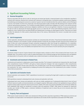# **3. Significant Accounting Policies**

#### **a) Revenue Recognition**

Revenue associated with the sale of crude oil, natural gas and natural gas liquids is measured based on the consideration specified in contracts with customers. Revenue from contracts with customers is recognized when or as Bonterra satisfies a performance obligation by transferring a promised good or service to a customer. A good or service is transferred when the customer obtains control of that good or service. The transfer of control of oil, natural gas, and natural gas liquids usually coincides with title passing to the customer and the customer taking physical possession. The Company principally satisfies its performance obligations at a point in time and the amounts of revenue recognized relating to performance obligations satisfied over time are not significant. Collection of revenue associated with the sale of crude oil, natural gas and natural gas liquids occurs on or about the 25<sup>th</sup> of the month following production. Items such as royalties for crown, freehold, gross overriding (GORR) and Saskatchewan surcharge are netted against revenue. These items are netted to reflect the deduction for other parties' proportionate share of the revenue. Administration fee income is recorded when services are provided.

#### **b) Joint Arrangements**

Certain exploration, development and production activities are conducted jointly with others. These financial statements reflect only the Company's interests in such activities. A jointly controlled operation involves the use of assets and other resources of the Company and those of other joint venture participants through contractual arrangements rather than through the establishment of a corporation, partnership or other entity. The Company has no interests in jointly controlled entities. The Company recognizes in its financial statements its interest in assets that it owns, the liabilities and expenses that it incurs, and its share of income earned by the joint arrangement.

#### **c) Inventories**

Inventories consist of crude oil. Crude oil stored in the Company's tanks is valued on a first-in, first-out basis at the lower of cost or net realizable value. The inventory cost for crude oil is determined based on the combined average per barrel operating costs, and depletion and depreciation for the period, while net realizable value is determined based on estimated sales price less transportation costs.

#### **d) Investments and Investment in Related Party**

Investments and investment in related party consist of equity securities. The Company's investments are measured as fair value through other comprehensive income ("FVTOCI"), with gains or losses arising from changes in fair value recognized in other comprehensive income and accumulated in the fair value instrument. The cumulative gain or loss will not be reclassified to profit or loss on disposal of the investments. Fair value is determined by multiplying the period end trading price of the investments by the number of common shares held as at period end.

#### **e) Exploration and Evaluation Assets**

General exploration and evaluation ("E&E") expenditures incurred prior to acquiring the legal right to explore are charged to expense as incurred.

E&E expenditures represent undeveloped land costs, licenses and exploration well costs.

Undeveloped land costs, licenses and exploration well costs are initially capitalized and, if subsequently determined to have not found sufficient reserves to justify commercial production, are charged to expense. E&E assets continue to be capitalized as long as sufficient progress is being made to assess the reserves and economic viability of the asset. Once technical feasibility and commercial viability has been established, E&E assets are transferred to property, plant and equipment ("PP&E"). E&E assets are assessed for impairment annually, upon transfer to PP&E assets or whenever indications of impairment exist to ensure they are not at amounts above their recoverable amounts.

#### **f) Property, Plant and Equipment**

PP&E assets include transferred-in E&E costs, development drilling and other subsurface expenditures. PP&E assets are carried at cost less depletion and depreciation of all development expenditures and include all other expenditures associated with PP&E assets.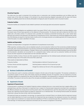#### **Oil and Gas Properties**

The initial cost of an asset is comprised of its purchase price or construction cost, including expenditures such as drilling costs; the present value of the initial and changes in the estimate of any decommissioning obligation associated with the asset; and finance charges on qualifying assets that are directly attributable to bringing the asset into operation and to its present location.

#### **Production Facilities**

Production facilities are comprised of costs related to petroleum and natural gas plant and production equipment.

#### **Leases**

Leases or contractual obligations are capitalized as right of use assets ("ROUs") with a corresponding right of use lease obligation using the present value of future lease payments on the statement of financial position. The discount rate used to determine the ROU is the stated rate in the lease contract. If no discount rate is provided, the Company's incremental borrowing rate is used. Certain lease payments will continue to be expensed in the statement of comprehensive income. These leases are contractual obligations that contain any of the following: are equal to or less than twelve months; are for oil and gas extraction; are variable payments; the Company does not control the asset; or no asset is identified in the lease.

#### **Depletion and Depreciation**

Depletion and depreciation is recognized in the statement of comprehensive income (loss).

PP&E properties, excluding surface costs are depleted using the unit-of-production method over their proved plus probable developed reserve life, when commercial production in an area has commenced. Proved plus probable developed reserves are determined annually by qualified independent reserve engineers. Changes in factors such as estimates of proved plus probable developed reserves that affect unit-of-production calculations are accounted for on a prospective basis. Surface costs such as production facilities and furniture, fixtures and other equipment are depreciated over their estimated useful lives.

Production facilities, furniture, fixtures and other equipment are depreciated over the individual assets estimated economic lives, less estimated salvage value of the assets at the end of their useful lives.

These assets are depreciated as follows:

| <b>Production facilities</b>            | Declining balance method at 10 percent per year            |
|-----------------------------------------|------------------------------------------------------------|
| Furniture, fixtures and other equipment | Declining balance method at 10 to 20 percent per year      |
| Right of use assets                     | Straight line method over the term of the associated lease |

#### **g) Business Combinations and Goodwill**

The purchase price used in a business combination is based on the fair value at the date of acquisition. The business combination is accounted for based on the fair value of the assets acquired and liabilities assumed. All acquisition costs are expensed as incurred. Contingent liabilities are recognized at fair value at the date of the acquisition, and subsequently re‐measured at each reporting period until settled. The excess of cost over fair value of the net assets and liabilities acquired is recorded as goodwill.

#### **h) Impairment of Assets**

#### **Impairment of Financial Assets**

A financial asset is considered to be impaired if objective evidence indicates that one or more events have had a negative effect on the estimated future cash flow of that asset. An impairment loss in respect of a financial asset measured at amortized cost is calculated as the difference between its carrying amount and the present value of the estimated future cash flow discounted at the original effective interest rate. Significant financial assets are tested for impairment on an individual basis. The remaining financial assets are assessed collectively in groups that share similar credit risk characteristics.

All impairment losses are recognized in net earnings. An impairment loss is reversed if there is an indicator that the impairment reversal can be related objectively to an event occurring after the impairment loss was recognized. Any subsequent recovery of an impairment loss in respect of an investment in an equity instrument classified as FVTOCI is reversed through other comprehensive income instead of net earnings. For financial assets measured at amortized cost, the reversal is recognized in net earnings.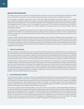#### **Impairment of Non-Financial Assets**

The carrying amounts of the Company's non-financial assets are reviewed at the end of each reporting period to determine whether there is any indication of impairment. If such indication exists, then the assets' carrying amounts are assessed for impairment.

For the purpose of impairment testing, assets (which include E&E, PP&E and goodwill) are grouped together into the smallest group of assets that generate cash flows from continuing use which are largely independent of the cash flow of other assets or groups of assets (the cash-generating unit or "CGU"). Goodwill is allocated to the CGU expected to benefit from the synergies of the combination. The recoverable amount of an asset or a CGU is the greater of its value-in-use ("VIU") and its fair value less costs to sell ("FVLCS"). The Company has a core CGU composed of its Alberta properties and secondary CGUs for its British Columbia (BC) and Saskatchewan properties.

An impairment loss is recognized if the carrying amount of an asset or its CGU exceeds its recoverable amount. Impairment losses are recognized in the statement of comprehensive income (loss). Impairment losses recognized in respect of a CGU are allocated first to reduce the carrying amount of any goodwill allocated to the CGU and then to reduce the carrying amount of the other assets of the CGU on a pro-rata basis.

In respect of assets other than goodwill, impairment losses recognized in prior periods are assessed at each reporting date for any indications that the impairment loss has reversed. If the amount of the impairment loss reverses in a subsequent period and the reversal can be objectively related to an event occurring after the impairment was recognized, the impairment loss is reversed only to the extent that the asset's carrying amount does not exceed the carrying amount that would have been determined, net of depletion and depreciation, if no impairment loss had been recognized and recorded in the statement of comprehensive income (loss). An impairment loss in respect of goodwill cannot be reversed.

#### **i) Deferred Consideration**

Deferred consideration is generated when a sale of a royalty interest linked to production at a specific property occurs. Consideration is given to the specific terms of each arrangement to determine whether a disposal of an interest in the reserves of the respective property has occurred and whether the counterparty is entitled to the associated risks and rewards attributable to the property over its estimated life. These include the contractual terms and implicit obligations related to production, such as the holder of the royalty having the option of either being paid in cash or in kind and the associated commitments, if any, to develop future expansions or projects at the property.

Proceeds for sale of a royalty interest on petroleum properties are then attributed to two components: a payment for partial disposal of an interest in PP&E; and an upfront payment received for future extraction services that will generate future royalties. Discounted future cash flows of future development and operating costs multiplied by the royalty rate are used to derive the upfront payment received for future extraction services, which is accounted for as deferred consideration and recognized as revenue over the reserve life of the encumbered properties (as this represents the efforts incurred towards the extraction performance obligation). Upon commencement of the royalty interest the deferred consideration is depleted (recognized into revenue) using the same unit-of-production method as the depletion of the encumbered PP&E asset's carrying value.

#### **j) Decommissioning Liabilities**

The fair value of the statutory, contractual, constructive or legal liabilities associated with the retirement and reclamation of oil and gas properties is recorded when incurred, with a corresponding increase to the carrying amount of the related PP&E. The amount recognized is the estimated cost of decommissioning, discounted to its present value using the Company's risk-free rate. Changes in the estimated timing of decommissioning or decommissioning cost estimates and changes to the risk-free rates are dealt with prospectively by recording an adjustment to the decommissioning liabilities, and a corresponding adjustment to PP&E. The unwinding of the discount on the decommissioning provision is charged to net earnings as a finance cost.

The Company recognizes a decommissioning liability in the period in which it is incurred when a reasonable estimate of the liability can be made. On a periodic basis, management will review these estimates and changes and if there are any, they will be applied prospectively. The fair value of the estimated provision is recorded as a long-term liability, with a corresponding increase in the carrying amount of the related asset. The capitalized amount is depleted on a unit-of-production basis over the life of the proved plus probable developed reserves. The liability amount is increased each reporting period due to the passage of time and this amount is charged to earnings in the period. Actual costs incurred upon settlement of the obligations are charged against the provision to the extent of the liability recorded and any remaining balance of actual costs is recorded in the statement of comprehensive income (loss).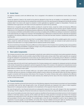#### **k) Income Taxes**

Tax expense comprises current and deferred taxes. Tax is recognized in the statement of comprehensive income (loss) or directly in equity.

Current tax expense is based on the results for the period as adjusted for items that are not taxable or not deductible. Current tax is calculated using tax rates and laws that are substantively enacted at the end of the reporting period. Management periodically evaluates positions taken in tax returns with respect to situations in which applicable tax regulation is subject to interpretation. Provisions are established where appropriate on the basis of amounts expected to be paid to the tax authorities.

Deferred tax is recognized using the liability method, providing for unused tax losses, unused tax credits and temporary differences between the carrying amounts of assets and liabilities for financial reporting purposes and the amounts used for taxation purposes. Deferred tax is not recognized for the following temporary differences: the initial recognition of assets and liabilities in a transaction that is not a business combination and that affects neither accounting nor taxable profit, and differences relating to investments in subsidiaries to the extent that they are unlikely to be reversed in the foreseeable future. Deferred tax is measured at the tax rates that are expected to be applied to the temporary differences when they reverse, based on the laws that have been enacted or substantively enacted by the reporting date.

A deferred tax asset is recognized to the extent that it is probable that future taxable profits will be available against which unused tax losses, unused tax credits and temporary differences can be utilized. Deferred tax assets are reviewed at each period end and are reduced to the extent that it is no longer probable that the related tax benefit will be realized.

The amount and timing of reversals of temporary differences will also depend on the Company's future operating results, and acquisitions and dispositions of assets and liabilities. A significant change in any of the preceding assumptions could materially affect the Company's estimate of the deferred income tax asset or liability.

#### **l) Share-option Compensation**

The Company accounts for share-option compensation using the fair-value method of accounting for stock options granted to directors, officers, employees and other service providers using the Black-Scholes option pricing model. Share-option payments are recognized through the statement of comprehensive income (loss) over the vesting period with a corresponding amount reflected in contributed surplus in equity. For awards issued in tranches that vest at different times, the fair value of each tranche is recognized over its respective vesting period.

At the grant date and at the end of each reporting period, the Company assesses and re-assesses for subsequent periods its estimates of the number of awards that are expected to vest and recognizes the impact of the revisions in the statement of comprehensive income (loss). Upon exercise of share-based options, the proceeds received net of any transaction costs and the fair value of the exercised sharebased options is credited to share capital.

Employees may elect to have the Company settle any or all options vested and exercisable using a cashless equity settlement. In connection with any such exercise, an employee shall be entitled to receive, without any cash payment (other than the taxes required to be paid in connection with the exercise), whole shares of the Company. The number of shares under option multiplied by the difference of the fair value at the time of exercise less the option exercise price, divided by the fair value at the time of exercise, determines the number of whole shares issued.

#### **m) Financial Instruments**

The Company classifies its financial instruments into one of the following categories: financial assets at amortized cost, financial liabilities at amortized costs; and fair value through profit or loss. All financial instruments are measured at fair value on initial recognition. Measurement in subsequent periods is dependent on the classification of the respective financial instrument.

Fair value through profit or loss financial instruments are subsequently measured at fair value with changes in fair value recognized in net earnings. All other categories of financial instruments are measured at amortized cost using the effective interest rate method.

Cash, account receivables and certain other long-term assets are classified as financial assets at amortized cost since it is the Company's intention to hold these assets to maturity and the related cash flows are mainly payments of principle and interest. The Company's investments are measured at FVTOCI, with gains or losses arising from changes in fair value recognized in other comprehensive income and accumulated in the fair value instrument. The cumulative gain or loss will not be reclassified to profit or loss on disposal of the investments. Accounts payable, accrued liabilities, and certain other long-term liabilities and long-term debt are classified as financial liabilities at amortized cost. Risk management assets and liabilities are classified as fair value through profit or loss.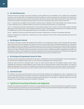#### **n) Fair Value Measurement**

Financial instruments consisting of accounts receivable, accounts payable and accrued liabilities, due to related party, subordinated promissory note and bank debt on the statement of financial position are carried at amortized cost. Investments and investment in related party are carried at fair value. All of the investments are transacted in active markets. Bonterra determines the fair value of these transactions according to the following hierarchy based on the amount of observable inputs used to value the instrument.

Level 1 – Quoted prices are available in active markets for identical assets or liabilities as of the reporting date. Active markets are those in which transactions occur in sufficient frequency and volume to provide pricing information on an ongoing basis.

Level 2 – Pricing inputs are other than quoted prices in active markets included in Level 1. Prices in Level 2 are either directly or indirectly observable as of the reporting date. Level 2 valuations are based on inputs, including quoted forward prices for commodities, time value and volatility factors, which can be substantially observed or corroborated in the marketplace.

Level 3 – Valuations in this level are those with inputs for the asset or liability that are not based on observable market data.

Bonterra's investments and investments in related party have been assessed on the fair value hierarchy described above and are all considered Level 1.

#### **o) Risk Management Contracts**

The Company is exposed to market risks resulting from fluctuations in commodity prices, foreign currency exchange rates and interest rates in the normal course of its business. The Company may use a variety of instruments to manage these exposures. For transactions where hedge accounting is not applied, the Company accounts for such instruments using the fair value method by initially recording an asset or liability and recognizing changes in the fair value of the instruments in earnings as unrealized gains or losses on risk management contracts. Fair values of financial instruments are based on third party quotes or valuations provided by independent third parties. Any realized gains or losses on risk management contracts are recognized in net earnings in the period they occur. Bonterra's risk management contracts have been assessed on the fair value hierarchy described above and are all considered Level 2.

#### **p) Net Earnings and Comprehensive Income Per Share**

Per share amounts are calculated by dividing the net earnings or comprehensive income (loss) attributable to common shareholders of the Company by the weighted average number of common shares outstanding during the reporting period.

Diluted per share amounts are calculated similar to basic per share amounts except that the weighted average common shares outstanding are increased to include additional common shares from the assumed exercise of dilutive share-options. The number of additional outstanding common shares is calculated by assuming that the outstanding in-the-money share-options were exercised and that the proceeds from such exercises were used to acquire common shares at the average market price during the reporting period.

#### **q) Government Grants**

The Company may receive government grants which provide financial assistance as compensation for costs or expenditures to be incurred. Government grants are accounted for when there is reasonable assurance that conditions attached to the grants are met and that the grants will be received. The Company recognizes government grants in net earnings on a systematic basis and in line with recognition of the expenses that the grants are intended to compensate.

# **4. Significant Accounting Estimates and Judgments**

Estimates and underlying assumptions are reviewed on an ongoing basis. Revisions to accounting estimates are recognized in the year in which the estimates are revised and in any future years affected. The following are the estimates and judgments applied by management that most significantly affect the Company's financial statements.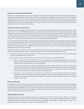#### **Exploration and Evaluation Expenditures**

E&E costs are initially capitalized with the intent to establish commercially viable reserves. E&E assets include undeveloped land and costs related to exploratory wells. The Company is required to make estimates and judgments about future events and circumstances regarding the future economic viability of extracting the underlying resources. Changes to project economics, resource quantities, expected production techniques, unsuccessful drilling, expired mineral leases, production costs and required capital expenditures are important factors when making this determination. To the extent a judgment is made that the underlying reserves are not viable, the E&E costs will be impaired and charged to net earnings.

#### **Impairment of Non-Financial Assets**

PP&E and goodwill are aggregated into CGUs based on their ability to generate largely independent cash flows and are assessed for impairment or in the case of PP&E impairment reversals. CGUs have been determined based on similar geological structure, shared infrastructure, geographical proximity, commodity type, and similar market risks. Oil and gas prices and other assumptions will change in the future, which may impact the Company's recoverable amounts and may therefore require a material adjustment to the carrying value of PP&E. The determination of the Company's CGUs is subject to management's judgment. The Company has a core CGU composed of its Alberta properties and secondary CGUs for its BC and Saskatchewan properties.

The recoverable amount of E&E, PP&E, and goodwill is determined based on the fair value less costs of disposal using a discounted cash flow model and is assessed at the CGU level. The period the Company used to project cash flows is approximately 50 years or the CGUs reserve life. Growth in cash flow from a single well would be determined based on the extent of total reserves assigned, which is produced at declining rates over the estimated reserve life. The fair value measurement of the Company's E&E, PP&E, and goodwill is designated Level 3 on the fair value hierarchy.

The Company performs an impairment test on all of its CGUs for any potential impairment or related recovery at least annually or when impairment or recovery indicators arise. In making these evaluations, the Company uses the following information:

- 1) The net present value of the pre-tax cash flows from oil and gas reserves of each CGU based on reserves estimated by the Company's independent reserve evaluator; and
- 2) Key input estimates used in the determination of cash flows from oil and gas reserves include the following:
	- a) Reserves Assumptions that are valid at the time of reserve estimation may change significantly when new information becomes available. Changes in forward price estimates, production costs or recovery rates may change the economic status of reserves and may ultimately result in reserves being revised.
	- b) Crude oil and natural gas prices Forward price estimates of the crude oil and natural gas prices are used in the discounted cash flow model. These prices are adjusted for quality differentials, heat content and distance to market. Commodity prices have fluctuated widely in recent years due to global and regional factors including supply and demand fundamentals, inventory levels, exchange rates, weather, economic and geopolitical factors.
	- c) Discount rate The Company uses a pre-tax discount rate of fifteen percent that reflects risks specific to the assets for which the future cash flow estimates have not been adjusted. The discount rate was determined based on the Company's assessment of risk based on past experience. Changes in the general economic environment could result in material changes to this estimate.

#### **Reserves Estimation**

The capitalized costs of oil and gas properties and deferred consideration are depleted on a unit-of-production basis at a rate calculated by reference to proved plus probable developed reserves determined in accordance with National Instrument 51-101 and the Canadian Oil and Gas Evaluation handbook. Commercial reserves are determined using best estimates of oil and gas in place, recovery factors and future oil and gas prices. Amounts used for impairment calculations are also based on estimates of crude oil and natural gas reserves and future costs required to develop those reserves.

#### **Risk Management Contract**

The Company accounts for such instruments using the fair value method by initially recording an asset or liability, and recognizing changes in the fair value of the instruments in net earnings as unrealized gains or losses on risk management contracts. Fair values of financial instruments are based on third party futures quotes for commodities. Any realized or unrealized gains or losses on risk management contracts are recognized in net earnings in the period they occur.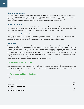#### **Share-option Compensation**

The Company measures the cost of equity-settled transactions with employees by reference to the fair value of the equity instruments at the date they are granted. Estimating the fair value requires the determination of the most appropriate valuation model for a grant, which is dependent on the terms and conditions of the grant. This also requires the determination of the most appropriate inputs to the valuation model including the expected life of the option, risk-free interest rates, volatility and dividend yield.

#### **Deferred Consideration**

Deferred consideration is incurred when the sale of a royalty interest occurs that has contractual terms or implicit obligations that requires future performance such future development costs and operating costs. Management uses judgments in determining those cash flows such as cost, inflation and the discount rate to determine the portion of proceeds that is deferred.

#### **Decommissioning and Restoration Costs**

Decommissioning and restoration costs will be incurred by the Company at the end of the operating lives of the Company's oil and gas properties. Provisions for decommissioning liabilities are based on cost estimates which can vary in response to many factors including timing of abandonment, inflation, changes in legal requirements, new restoration techniques and interest rates.

#### **Income Taxes**

The Company recognizes the net deferred tax benefit or expense related to deferred income tax assets or liabilities to the extent that it is probable that the deductible temporary differences will reverse in the foreseeable future. Assessing the recoverability of investment tax credit receivable requires the Company to make significant estimates related to expectations of future taxable income. The provision for income taxes is based on judgments in applying income tax law and estimates of the timing, likelihood and reversal of temporary differences between the accounting and tax basis of assets and liabilities. The ability to realize on the deferred tax assets and investment tax credit receivable that are recorded on the balance sheet may be compromised to the extent that any interpretation of tax law is challenged or taxable income differs significantly from estimates.

Further details regarding accounting estimates and judgments are disclosed in Note 3.

# **5. Investment in Related Party**

The investment consists of 1,034,523 (December 31, 2020 – 1,034,523) common shares in Pine Cliff Energy Ltd. ("Pine Cliff"), a company with some common directors with Bonterra. The investment in Pine Cliff represents less than one percent ownership in the outstanding common shares of Pine Cliff and is recorded at fair value through other comprehensive income. The common shares of Pine Cliff trade on the TSX under the symbol PNE.

# **6. Exploration and Evaluation Assets**

| <b>BALANCE AT DECEMBER 31, 2021</b> | 1,994    |
|-------------------------------------|----------|
| Additions                           | 1,621    |
| <b>BALANCE AT DECEMBER 31, 2020</b> | 373      |
| Impairment (Note7)                  | (4, 566) |
| Additions                           | 959      |
| Balance at January 1, 2020          | 3,980    |
| <b>COST AND CARRYING AMOUNT</b>     |          |
| (\$000s)                            |          |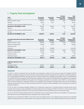# **7. Property, Plant and Equipment**

| <b>COST</b><br>(\$000s)                             | Oil and Gas<br><b>Properties</b> | <b>Production</b><br><b>Facilities</b> | <b>Furniture</b><br><b>Fixtures &amp; Other</b><br><b>Equipment</b> | <b>Total</b><br><b>Property Plant</b><br>& Equipment |
|-----------------------------------------------------|----------------------------------|----------------------------------------|---------------------------------------------------------------------|------------------------------------------------------|
| Balance at January 1, 2020                          | 1,426,923                        | 357,408                                | 2,255                                                               | 1,786,586                                            |
| Additions                                           | 30,550                           | 12,177                                 | 42                                                                  | 42,769                                               |
| Adjustment to decommissioning liabilities (Note 14) | 92                               |                                        |                                                                     | 92                                                   |
| <b>BALANCE AT DECEMBER 31, 2020</b>                 | 1,457,565                        | 369,585                                | 2,297                                                               | 1,829,447                                            |
| Additions                                           | 44,505                           | 21,140                                 | 16                                                                  | 65,661                                               |
| Adjustment to decommissioning liabilities (Note 14) | 5,980                            |                                        |                                                                     | 5,980                                                |
| Disposal                                            | -                                | $\overline{\phantom{0}}$               | (3)                                                                 | (3)                                                  |
| <b>BALANCE AT DECEMBER 31, 2021</b>                 | 1,508,050                        | 390,725                                | 2,310                                                               | 1,901,085                                            |

| <b>ACCUMULATED DEPLETION AND DEPRECIATION</b><br>(\$000s) | Oil and Gas<br><b>Properties</b> | <b>Production</b><br><b>Facilities</b> | <b>Furniture</b><br><b>Fixtures &amp; Other</b><br><b>Equipment</b> | <b>Total</b><br><b>Property Plant</b><br>& Equipment |
|-----------------------------------------------------------|----------------------------------|----------------------------------------|---------------------------------------------------------------------|------------------------------------------------------|
| Balance at January 1, 2020                                | (678, 265)                       | (150, 996)                             | (1,789)                                                             | (831,050)                                            |
| Depletion and depreciation                                | (49,087)                         | (10,071)                               | (67)                                                                | (59, 225)                                            |
| Disposal and other                                        | 51                               |                                        |                                                                     | 51                                                   |
| Impairment                                                | (183, 337)                       | (50, 965)                              | $\overline{\phantom{a}}$                                            | (234, 302)                                           |
| <b>BALANCE AT DECEMBER 31, 2020</b>                       | (910, 638)                       | (212, 032)                             | (1,856)                                                             | (1,124,526)                                          |
| Depletion and depreciation                                | (64, 331)                        | (12, 404)                              | (56)                                                                | (76, 791)                                            |
| Disposal and other                                        | (115)                            |                                        |                                                                     | (115)                                                |
| Impairment reversal                                       | 159,673                          | 43,524                                 |                                                                     | 203,197                                              |
| <b>BALANCE AT DECEMBER 31, 2021</b>                       | (815, 411)                       | (180, 912)                             | (1, 912)                                                            | (998, 235)                                           |

#### **CARRYING AMOUNTS AS AT:**

| <b>DECEMBER 31, 2021</b> | 692,639 | 209,813 | 398 | 902,850 |
|--------------------------|---------|---------|-----|---------|
| December 31, 2020        | 546,927 | 157,553 | 441 | 704,921 |
| (\$000s)                 |         |         |     |         |

#### **Impairment**

At March 31, 2020 an impairment test over all CGUs was conducted in response to the economic impact of the global COVID-19 pandemic, the global oversupply of crude oil, the impact on forecast benchmark commodity prices and a reduction in market capitalization. The Company determined that the carrying value of the Company's Alberta CGU exceeded its recoverable amount. A total impairment loss of \$331,678,000 was recognized, with \$234,302,000 recognized on the Company's PPE, \$92,810,000 was applied to the Company's goodwill and an additional \$4,566,000 was applied to the Company's exploration and evaluation assets ("E&E"). As at December 31, 2020, no further impairment or impairment recovery was recognized as the estimated recoverable amount of each CGU exceeded its respective carrying value, but has not fully recovered as well as the Company's market capitalization with commodity price uncertainty caused by COVID-19.

At June 30, 2021 the Company identified indicators of an impairment reversal due to increased forward commodity prices and an increase in the Company's market capitalization since the impairment loss recognized as at March 31, 2020. As a result, recovery testing was performed by preparing estimates of future cash flows to determine the recoverable amount of the respective assets.

At June 30, 2021 the Company determined that the recoverable amount of the Company's Alberta CGU exceeded its carrying value. A total impairment recovery of \$203,197,000 was recognized in the Company's PP&E.

Impairment can be reversed for PP&E up to the lower of the recoverable amount or the original carrying value less any associated depletion and depreciation that would have been incurred had the impairment not occurred. Goodwill impairment cannot be reversed.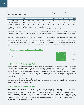|                                    | 2021  | 2022  | 2023  | 2024  | 2025  | 2026  | 2027  | 2028  | 2029  | 2030  | $2031^{(2)}$ |
|------------------------------------|-------|-------|-------|-------|-------|-------|-------|-------|-------|-------|--------------|
| WTI Crude oil \$US/Bbl(1)          | 71.33 | 67.20 | 63.95 | 63.23 | 64.50 | 65.79 | 67.10 | 68.44 | 69.81 | 71.21 | 72.63        |
| AECO C-Spot \$Mmbtu <sup>(1)</sup> | 3.28  | 2.97  | 2.58  | 2.57  | 2.62  | 2.67  | 2.73  | 2.78  | 2.84  | 2.90  | 2.95         |
| Exchange rate US\$/\$Cdn           | 0.80  | 0.80  | 0.80  | 0.80  | 0.80  | 0.80  | 0.80  | 0.80  | 0.80  | 0.80  | 0.80         |

The following table outlines the forecasted benchmark commodity prices and the exchange rates used in the impairment (reversal) calculation of PP&E at June 30, 2021.

(1) The forecast benchmark commodity prices listed above are adjusted for quality differentials, heat content, transportation and marketing costs and other factors specific to the Company's operations in performing the Company's impairment tests.

(2) Forecast benchmarks commodity prices are assumed to increase by 2.0% in each year after 2030 to end of the reserve life.

Discount rate – The Company used a pre-tax discount rate of 15 percent that reflects risks specific to the assets for which the future cash flow estimates have not been adjusted. The discount rate was determined based on the Company's assessment of risk based on experience. Changes in the general economic environment could result in material changes to this estimate.

Changes in any of the key judgments, such as a revision in reserves, changes in forecast benchmark commodity prices, discount rates, foreign exchange rates, capital or operating costs would impact the recoverable amounts of assets and any recoveries or impairment changes would affect net earnings. The most sensitive assumptions to the calculation are the discount rate and forecast benchmark commodity price estimates at June 30, 2021. The Company concluded that no reasonable change in the key assumptions, such as a two percent change in commodity prices or a one percent change in the discount rate, would result in a different impairment reversal being recorded.

## **8. Accounts Payable and Accrued Liabilities**

|                            | December 31, | December 31, |
|----------------------------|--------------|--------------|
| (\$000s)                   | 2021         | 2020         |
| Accounts payable           | 25,420       | 20,092       |
| <b>Accrued liabilities</b> | 9,774        | 8,137        |
|                            | 35,194       | 28,229       |

## **9. Transactions With Related Parties**

As at December 31, 2021, a loan to Bonterra provided by the Company's CEO, director and major shareholder totaled \$nil (December 31, 2020 – \$12,366,000). The loan did bear interest at five and a half percent and had no set repayment terms. Effective June 1, 2020, principal or interest payments could not be settled for cash but could be settled by the issuance of common shares. No common shares were issued. Security under the debenture was over all of the Company's assets and it was subordinated to all claims in favour of the syndicate of senior lenders (including subordinated debt) providing credit facilities to the Company. Interest paid on this loan in 2021 was \$557,000 (December 31, 2020 – \$224,000). In 2021, interest accrued on this loan and added to the loan's principal totaled \$nil (December 31, 2020 – \$366,000).

On October 20, 2021 (the "Conversion Date"), \$12,000,000 of the due to related party loan was exchanged for senior unsecured subordinated debentures plus warrants and approximately \$923,000 of current and previously accrued interest to the Conversion Date was settled for cash (for more information see Note 13).

# **10. Subordinated Promissory Note**

As at December 31, 2021, Bonterra had \$nil (December 31, 2020 – \$7,604,000) outstanding on a subordinated promissory note to a private investor. The note did bear interest at five and a half percent. Effective June 1, 2020, principal or interest payments could not be settled for cash but could be settled by the issuance of common shares. Security consists of a floating demand debenture over all of the Company's assets and it was subordinated to all claims in favor of the syndicate of senior lenders (including subordinated debt) providing credit facilities to the Company. Interest settled in cash on the subordinated promissory note for the year ended 2021 was \$23,000 (December 31, 2020 – \$171,000). In 2021, the Company issued 118,896 common shares to settle \$414,000 of accrued interest for the period of October 1, 2020 to September 30, 2021.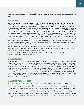On October 20, 2021, \$7,500,000 of the subordinated promissory note was exchanged for senior unsecured subordinated debentures plus warrants and approximately \$23,000 of current interest to the Conversion Date was settled for cash (for more information see Note 13).

## **11. Bank Debt**

As at December 31, 2021, the Company has a total bank facility of \$210,000,000 (December 31, 2020 – \$300,000,000), comprised of a \$185,000,000 syndicated revolving credit facility, and a \$25,000,000 non-syndicated revolving credit facility. The amount drawn under the total bank facility at December 31, 2021 was \$162,945,000 (December 31, 2020 – \$252,255,000). The amounts borrowed under the total bank facility bear interest at a floating rate based on the applicable Canadian prime rate or Banker's Acceptance rate, plus between 2.00 percent and 7.00 percent, depending on the type of borrowing and the Company's consolidated debt to EBITDA ratio. EBITDA is defined as net income for the period excluding finance costs, provision for current and deferred taxes, depletion and depreciation, shareoption compensation, gain or loss on sale of assets and impairment of assets. The terms of the total revolving bank facility provide that the loan facility is revolving to May 31, 2022, with a maturity date of November 30, 2022. The available lending limit of the bank facility is scheduled to be reviewed before May 31, 2022. The syndicated revolving credit facility has a \$10,000,000 reduction on March 31, 2022.

The amount available for borrowing under the bank facility is reduced by outstanding letters of credit. Letter of credit totaling \$1,445,000 were issued as at December 31, 2021 (December 31, 2020 – \$1,245,000). Security for the bank facility consists of various floating demand debentures totaling \$750,000,000 (December 31, 2020 – \$750,000,000) over all of the Company's assets and a general security agreement with first ranking over all personal and real property.

As at December 31, 2021, Bonterra was in compliance with all financial covenants on its total bank facility.

Under the Company' current credit agreement, it is restricted from making any payment of dividend distributions. In addition, the Company is also limited to expenditures on an annual basis which cannot:

- exceed 110 percent or be less than 90 percent of the forecasted decommissioning expenditures settled; and
- exceed 110 percent of forecasted capital expenditures.

## **12. Subordinated Debt**

As at December 31, 2021, Bonterra had \$47,268,000 (December 31, 2020 – \$28,161,000) outstanding on a second lien non-revolving term facility due November 13, 2024 from the Business Development Bank of Canada (the "BDC"), through the Business Credit Availability Program (the "BCAP"). The amount drawn under the BCAP facility as at December 31, 2021 was \$45,000,000 (December 31, 2020 – \$28,000,000). Interest owing under the BCAP facility is accrued and added to the principal at five percent for the first year from the effective date of November 13, 2020. Thereafter interest will be paid monthly at an interest rate calculated as the greater of the revolving bank facility rate plus 1.00 percent or a fixed interest rate of 6.00 percent, increasing by 1.00 percent in each of the subsequent years. Security consists of a floating demand debenture over all of the Company's assets and is subordinated to all claims in favor of the syndicate of senior lenders providing credit facilities to the Company. Interest accrued on the BCAP facility during 2021 was \$2,108,000 (December 31, 2020 – \$161,000) of which \$1,868,000 (December 31, 2020 – \$161,000) was added to the principal. Interest paid in 2021 was \$139,000 (December 31, 2020 – \$nil).

## **13. Subordinated Debentures**

On October 20, 2021, the Company issued 32,000 units ("Initial Offering") at a price of \$1,000 per unit for aggregate proceeds \$32,000,000. In conjunction with the Initial Offering the Company has also entered into agreements with the holders of its existing subordinated promissory note and due to related party loan (the "Subordinated Loans") to convert their principal amounts outstanding of an aggregate of \$19,500,000 into units under the same terms and conditions as the subscribers under the Initial Offering. Concurrent with the closing of the Initial Offering, Bonterra entered into an agreement with the Agents providing for a separate offering of up to \$5,000,000 of Units (the "Follow On Offering"), under the same terms and conditions as the Initial Offering. As part of the Follow On Offering, insiders of the Company will be given the option to subscribe for up to \$1,000,000 in Units. On October 21, 2021, the Company announced an increase to the Follow On Offering to \$7,500,000 of Units. The Follow On Offering closed on November 10, 2021, and 7,500 units were issued. A total of 59,000 units were issued.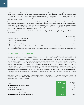Each Unit is comprised of: (i) one senior unsecured debenture with a par value of \$1,000 per note and bearing interest at 9.0 percent per annum, which are payable semi-annually; and (ii) 56 common share purchase warrants of Bonterra ("Warrants"). The debentures mature on October 20, 2025 and all or a portion of the principal amount outstanding can be repaid without penalty after October 20, 2024. A total of 3,304,000 Warrants were issued, entitling the holder to purchase one Common Share of Bonterra for each Warrant at a price of \$7.75, until October 20, 2025.

The unsecured subordinated debentures were determined to be a compound instrument with a debt and equity component. The fair value of the debt component of the \$59,000,000 in debentures were determined on issuance to be 15.6 percent using the effective interest rate method, by discounting future payments of interest and principal with the residual value allocated to Warrants of \$9,811,000 and issue costs of \$2,240,000. The value of the debt will accrete up to the principal balance at maturity. The Warrants have been recorded net of \$2,259,000 of deferred taxes in shareholders' equity.

The Company estimated the fair value of \$9,811,000 or \$2.97 per Warrant using the Black-Scholes option pricing model with the following key assumptions:

|                                                             | December 31, 2021 |
|-------------------------------------------------------------|-------------------|
| Weighted-average risk free interest rate (%) <sup>(1)</sup> | 0.80              |
| Weighted-average expected life (years)                      | 2.2               |
| Weighted-average volatility (%) <sup>(2)</sup>              | 91.01             |
| Weighted average dividend yield (%)                         | 1.73              |

(1) Risk-free interest rate is based on the weighted average Government of Canada benchmark bond yields for one, two, and three year terms to match corresponding vesting periods.

(2) The expected volatility is measured as the standard deviation of expected share price returns based on statistical analysis of historical weekly share prices for a representative period.

# **14. Decommissioning Liabilities**

At December 31, 2021, the Company used a 2.0 percent inflation rate (December 31, 2020 – 2.0 percent inflation rate) and a risk-free nominal rate of 2.3 percent (December 31, 2020 – 2.3 percent) to calculate the present value of the decommissioning provision. Due to current global capital markets and its effect on long-term risk-free nominal rates in Canada are below target inflation rates, implying a negative real rate of return. The Company determined that applying these rates to current cost estimates would not provide an accurate measurement of the decommissioning liability as observable stand-alone risk-free real rates of return continue to be positive. To provide a more accurate measurement of the liability, the Company applied a risk-free real return rate of 0.3 percent above inflation to estimate the present value of the decommissioning provision at December 31, 2021, resulting in a change in estimate. The risk-free real return rate represents an observable, market based risk-free rate of return after adjusting for inflation. Changes in the measurement of the decommissioning provision are added to, or deducted from, the cost of the related asset in property, plant and equipment. When a re-measurement of the decommissioning provision relates to a retired asset, the amount is recorded in the statement of comprehensive income (loss).

At December 31, 2021, the estimated total uninflated and undiscounted amount required to settle the decommissioning liabilities was \$153,061,000 (December 31, 2020 – \$156,573,000). These obligations will be settled at the end of the useful lives of the underlying assets, which extend up to 50 years into the future.

| (\$000s)                                        | December 31.<br>2021 | December 31,<br>2020 |
|-------------------------------------------------|----------------------|----------------------|
| <b>DECOMMISSIONING LIABILITIES, JANUARY 1</b>   | 137,002              | 138,171              |
| Changes in estimate                             | 5,980                | 92                   |
| Liabilities settled during the period           | (4,496)              | (2,706)              |
| Government grant in-kind (Note 21)              | (5,901)              | (1,689)              |
| Accretion on decommissioning liabilities        | 3,230                | 3,134                |
| <b>DECOMMISSIONING LIABILITIES, END OF YEAR</b> | 135,815              | 137,002              |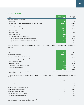# **15. Income Taxes**

| (\$000s)                                                            | December 31.<br>2021 | December 31,<br>2020 |
|---------------------------------------------------------------------|----------------------|----------------------|
| Deferred tax asset (liability) related to:                          |                      |                      |
| Investments                                                         | 11                   | 80                   |
| Exploration and evaluation assets and property, plant and equipment | (149, 656)           | (100, 243)           |
| Investment tax credits                                              | (2,041)              | (2,041)              |
| Decommissioning liabilities                                         | 31,276               | 31,558               |
| Corporate tax losses carried forward                                | 16,284               | 20,496               |
| Share issue costs                                                   | 539                  |                      |
| Financial derivative                                                | 1,052                | 829                  |
| Subordinated debenture                                              | (2,681)              |                      |
| Corporate capital tax losses carried forward                        | 7,453                | 7,488                |
| Unrecorded benefits of capital tax losses carried forward           | (7, 453)             | (7,488)              |
| Unrecorded benefits of successored resource related pools           | (4,090)              | (4,150)              |
| Deferred tax asset (liability)                                      | (109, 306)           | (53, 471)            |

Income tax expense varies from the amounts that would be computed by applying Canadian federal and provincial income tax rates as follows:

| (\$000s)                                                  | December 31.<br>2021 | December 31,<br>2020 |
|-----------------------------------------------------------|----------------------|----------------------|
| Earnings (loss) before taxes                              | 232,964              | (367,573)            |
| Combined federal and provincial income tax rates          | 23,03%               | 24.03%               |
| Income tax provision calculated using statutory tax rates | 53,652               | (88, 314)            |
| Increase (decrease) in taxes resulting from:              |                      |                      |
| Share-option compensation                                 | 252                  | 105                  |
| Impairment of goodwill                                    | ×.                   | 22,299               |
| Change in unrecorded benefits of tax pools                | (95)                 | 2,529                |
| Change in estimates and other                             | (144)                | 2,697                |
|                                                           | 53,665               | (60, 684)            |

(1) Effective July 1, 2020 the combined federal and provincial tax rate for Bonterra is approximately 23.00% due to the provincial tax rate for Alberta, Canada decreasing from 10% to 8%.

The Company has the following tax pools, which may be used to reduce taxable income in future years, limited to the applicable rates of utilization:

| (\$000s)                                                    | Rate of<br>Utilization (%) | Amount  |
|-------------------------------------------------------------|----------------------------|---------|
| Undepreciated capital costs                                 | $7-100$                    | 60,376  |
| Share issue costs                                           | 20                         | 2,341   |
| Canadian oil and gas property expenditures                  | 10                         | 71,257  |
| Canadian development expenditures                           | 30                         | 100,853 |
| Canadian exploration expenditures                           | 100                        | 9,111   |
| Federal income tax losses carried forward <sup>(1)</sup>    | 100                        | 83,951  |
| Provincial income tax losses carried forward <sup>(2)</sup> | 100                        | 45,569  |
|                                                             |                            | 373,458 |

(1) Federal income tax losses carried forward expire in the following years: 2036 – \$25,601,000; 2037 – \$182,000; 2039 – \$2,163,000; 2040 – \$56,005,000;

(2) Provincial income tax losses carried forward expire in 2040.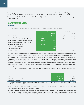The Company has \$8,861,000 (December 31, 2020 – \$8,861,000) of investment tax credits that expire in the following years: 2024 – \$1,319,000; 2025 – \$2,258,000; 2026 - \$2,405,000; 2027 – \$2,009,000; 2028 – \$745,000; 2034 – \$99,000; and 2037 – \$26,000.

The Company has \$64,725,000 (December 31, 2020 – \$65,015,000) of capital losses carried forward which can only be claimed against taxable capital gains.

# **16. Shareholders' Equity**

#### **Authorized**

The Company is authorized to issue an unlimited number of common shares without nominal or par value.

|                                                            | <b>December 31, 2021</b> |                             | December 31, 2020 |                    |
|------------------------------------------------------------|--------------------------|-----------------------------|-------------------|--------------------|
| Issued and fully paid - common shares                      | <b>Number</b>            | <b>Amount</b><br>$(S$ 000s) | Number            | Amount<br>(\$000s) |
| Balance, beginning of year                                 | 33,511,316               | 765,415                     | 33,388,796        | 765,276            |
| Shares issued for interest on subordinated promissory note | 118,896                  | 414                         | 122,520           | 139                |
| Issued pursuant to the Company's share option plan         | 183,740                  | 378                         |                   |                    |
| Transfer from contributed surplus to share capital         |                          | 168                         |                   |                    |
| Issuance of flow through shares                            | 1,187,000                | 7,003                       |                   |                    |
| Premium on flow through shares                             |                          | (356)                       |                   |                    |
| Share issue costs, net of tax                              |                          | (241)                       |                   |                    |
| Balance, end of year                                       | 35,000,952               | 772,781                     | 33,511,316        | 765,415            |

The Company is authorized to issue an unlimited number of Class "A" redeemable Preferred Shares and an unlimited number of Class "B" Preferred Shares. There are currently no outstanding Class "A" redeemable Preferred Shares or Class "B" Preferred Shares.

On December 9, 2021, the Company raised \$7,003,000 by issuing 1,187,000 common shares on a flow through basis through a private placement financing. Proceeds of the offering are to be used for qualifying development expenditures during the first quarter of 2022. At December 31, 2021, Bonterra had not incurred the required expenditures. The Company has filed the renouncement documents subsequent to year-end. The premium component of the flow-through shares is calculated as \$356,000 and is set up as a current liability in accounts payable and accrued liabilities. This amount will be netted against the Company's deferred tax liability in the first quarter of 2022.

The weighted average common shares used to calculate basic and diluted net earnings per share for the year ended December 31, 2021, are as follows:

|                                                 | <b>December 31, 2021</b> | December 31, 2020 |
|-------------------------------------------------|--------------------------|-------------------|
| Basic shares outstanding                        | 33,729,730               | 33,403,860        |
| Dilutive effect of share options <sup>(1)</sup> | 1,031,445                | 16.784            |
| Diluted shares outstanding                      | 34,761,175               | 33,420,644        |

(1) The Company did not include 3,574,500 share-options and warrants (December 30, 2020 – 2,246,700) in the dilutive effect of share-options and warrants calculations as these were anti-dilutive.

For the year ended December 31, 2021, the Company did not declare or pay dividends (December 31, 2020 – \$1,002,000 (\$0.03 per share)). The dividend was suspended effective April 1, 2020.

The Company provides an equity settled option plan for its directors, officers and employees. Under the plan, the Company may grant options for up to 3,500,095 (December 31, 2020 – 3,351,131 common shares). The exercise price of each option granted cannot be lower than the market price of the common shares on the date of grant and the option's maximum term is five years.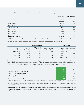A summary of the status of the Company's stock options as of December 31, 2021 and changes during the year are presented below:

|                                  | Number of<br><b>Options</b> |    | <b>Weighted Average</b><br><b>Exercise Price</b> |
|----------------------------------|-----------------------------|----|--------------------------------------------------|
| At January 1, 2020               | 1,945,000                   | \$ | 10.13                                            |
| Options granted                  | 2,373,200                   |    | 2.25                                             |
| Options forfeited                | (348,500)                   |    | 7.94                                             |
| Options expired                  | (1,543,000)                 |    | 10.3                                             |
| At December 31, 2020             | 2,426,700                   | \$ | 2.63                                             |
| Options granted                  | 235,500                     |    | 4.39                                             |
| Options exercised <sup>(1)</sup> | (266, 600)                  |    | 3.02                                             |
| Options forfeited                | (87,000)                    |    | 1.96                                             |
| Options expired                  | (47,000)                    |    | 13.55                                            |
| AT DECEMBER 31, 2021             | 2,261,600                   | S  | 2.56                                             |

(1) 127,500 options were exercised under the cashless option method, which resulted in 44,640 shares being issued in which the Company received no proceeds.

The following table summarizes information about options outstanding and exercisable as at December 31, 2021:

|                                    |                       | <b>Options Outstanding</b>    |                                           | <b>Options Exercisable</b> |                                           |
|------------------------------------|-----------------------|-------------------------------|-------------------------------------------|----------------------------|-------------------------------------------|
|                                    |                       | Weighted-average              |                                           |                            |                                           |
| Range of<br><b>Exercise Prices</b> | Number<br>Outstanding | Remaining<br>Contractual Life | Weighted-average<br><b>Exercise Price</b> | Number<br>Exercisable      | Weighted-average<br><b>Exercise Price</b> |
| $$1.00 - $5.00$                    | 2,176,600             | 1.1 years                     | \$<br>2.36                                | 1,380,750                  | \$<br>1.91                                |
| $5.01 - 10.00$                     | 71,000                | 1.1 years                     | 5.76                                      | 36,000                     | 5.87                                      |
| $10.01 - 20.00$                    | 14,000                | 0.5 years                     | 17.76                                     | 14,000                     | 17.76                                     |
| $$1.00 - $20.00$                   | 2,261,600             | 1.1 years                     | \$<br>2.56                                | 1,430,750                  | \$<br>2.16                                |

The Company records compensation expense over the vesting period, which ranges between one and three years, based on the fair value of options granted to directors, officers and employees. In 2021, the Company granted 235,500 options with an estimated fair value of \$417,000 or \$1.77 per option using the Black-Scholes option pricing model with the following key assumptions:

|                                                             | December 31,<br>2021 | December 31,<br>2020 |
|-------------------------------------------------------------|----------------------|----------------------|
| Weighted-average risk free interest rate (%) <sup>(1)</sup> | 0.40                 | 0.78                 |
| Weighted-average expected life (years)                      | 2.0                  | 1.3                  |
| Weighted-average volatility (%) <sup>(2)</sup>              | 84.61                | 88.02                |
| Forfeiture rate (%)                                         | 7.69                 | 7.50                 |
| Weighted average dividend yield (%)                         | 2.71                 | 5.96                 |

(1) Risk-free interest rate is based on the weighted average Government of Canada benchmark bond yields for one, two, and three year terms to match corresponding vesting periods.

(2) The expected volatility is measured as the standard deviation of expected share price returns based on statistical analysis of historical weekly share prices for a representative period.

On February 18, 2022 the Company granted 965,000 share options to employees and directors with an exercise price of \$9.00, based on the market price immediately preceding the date of grant. The share options vests between one and three years from the grant date and expire on February 18, 2027.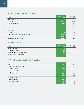# **17. Oil and Gas Sales, Net of Royalties**

| (\$000s)                                       | December 31,<br>2021 | December 31,<br>2020 |
|------------------------------------------------|----------------------|----------------------|
| Oil and gas sales                              |                      |                      |
| Crude oil                                      | 195,985              | 94,567               |
| Natural gas liquids                            | 16,225               | 7,044                |
| Natural gas                                    | 39,406               | 20,031               |
|                                                | 251,616              | 121,642              |
|                                                |                      |                      |
| Less royalties:                                |                      |                      |
| Crown                                          | (15, 241)            | (4,104)              |
| Freehold, gross overriding royalties and other | (10, 509)            | (3,717)              |
|                                                | (25,750)             | (7,821)              |
| Oil and gas sales, net of royalties            | 225,866              | 113,821              |

# **18. Other Income**

| (\$000s)                               | December 31,<br>2021 | December 31,<br>2020 |
|----------------------------------------|----------------------|----------------------|
| Investment income                      | 67                   | 50                   |
| Administrative income                  | 487                  | 211                  |
| Gain on sale of property and equipment | 225                  | -                    |
| Government grant in-kind (Note 21)     | 5,901                | 1,689                |
| Other income                           | 6,680                | 1,950                |

# **19. Supplemental Cash Flow Information**

| (\$000s)                                 | December 31,<br>2021 | December 31,<br>2020 |
|------------------------------------------|----------------------|----------------------|
| Change in non-cash working capital:      |                      |                      |
| Accounts receivable                      | (11, 324)            | 8,873                |
| Crude oil inventory                      | (270)                | 20                   |
| Prepaid expenses                         | (2,002)              | (12)                 |
| Accounts payable and accrued liabilities | 6,609                | 2,806                |
|                                          | (6,987)              | 11,687               |
| Changes related to:                      |                      |                      |
| Operating activities                     | (6, 229)             | 6,270                |
| Investing activities                     | (758)                | 5,417                |
|                                          | (6,987)              | 11,687               |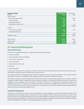| <b>FINANCE EXPENSE</b><br>(\$000s) | December 31,<br>2021 | December 31,<br>2020 |
|------------------------------------|----------------------|----------------------|
| Interest expense:                  |                      |                      |
| Bank and subordinated debt         | 21,332               | 17,353               |
| Due to related party               | 557                  | 590                  |
| Subordinated debenture             | 1,047                |                      |
| Subordinated promissory note       | 333                  | 413                  |
|                                    | 23,269               | 18,356               |
| Accretion:                         |                      |                      |
| Decommissioning liabilities        | 3,230                | 3,134                |
| Subordinated debentures            | 410                  |                      |
|                                    | 3,640                | 3,134                |
| Total finance costs                | 26,909               | 21,490               |
|                                    |                      |                      |
| Interest expense                   | 23,269               | 18,356               |
| Interest accrued                   | (2,052)              | (769)                |
| Interest paid                      | 21,217               | 17,587               |

# **20. Financial Risk Management**

#### **Financial Risk Factors**

The Company undertakes transactions in a range of financial instruments including:

- Accounts receivable
- Accounts payable and accrued liabilities
- Common share investments
- Due to related party
- Subordinated promissory note
- Bank debt
- Subordinated debt

The Company's activities result in exposure to a number of financial risks including market risk (commodity price risk, interest rate risk, and foreign exchange risk), credit risk, liquidity risk and equity price risk.

The Company's overall risk management program seeks to mitigate these risks and reduce the volatility on the Company's financial performance. Financial risk is managed by senior management under the direction of the Board of Directors.

The Company is exposed to credit risk, liquidity risk and market risk as part of its normal course of business. The Company's overall risk management program seeks to mitigate these risks and reduce the volatility on the Company's financial performance. Financial risk is managed by senior management under the direction of the Board of Directors. The Company does not speculatively trade in risk management contracts. The Company's risk management contracts are entered into to manage the risks relating to commodity prices from its business activities. Certain financial risks have been increased due to the COVID-19 outbreak and have created abnormal volatility in spot prices and decreased demand for oil.

#### **Liquidity Risk Management**

Liquidity risk is the risk that the Company will encounter difficulty in meeting obligations associated with its financial liabilities. While commodity prices have stabilized since the outbreak of the COVID-19 pandemic there is still economic uncertainty as a result of new COVID-19 variants and varying levels of progress each country around the globe can administer vaccines will have impact the Company's financial performance and position, the Company continues to retain available committed borrowing capacity that provides the Company with financial flexibility and the ability to meet ongoing obligations as they become due.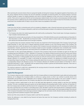After examining the economic factors that are causing the liquidity risk facing the Company, the judgment applied to these factors, and the various initiatives that the Company has and will undertake to strengthen its financial position, the Company believes it will have sufficient liquidity to support its ongoing operations and meet its financial obligations as they come due for at least the next twelve months. There can be no assurance that the next borrowing base redetermination will not result in a borrowing base shortfall, and that the necessary funds or additional security will be available to eliminate the short fall. Upon receipt of notice from the lenders, the shortfall would have to be remedied within 30 days or by such other means as acceptable to the lenders.

#### **Credit Risk**

Credit risk is the risk that a contracting party will not complete its obligations under a financial instrument and cause the Company to incur a financial loss. The Company is exposed to credit risk on all financial assets included on the statement of financial position. To help mitigate this risk:

- The Company only enters into material agreements with credit worthy counterparties. These include major oil and gas companies or major Canadian chartered banks; and
- Agreements for product sales are primarily on 30-day renewal terms. Of the \$24,215,000 accounts receivable balance at December 31, 2021 (December 31, 2020 – \$12,891,000) over 89 percent (2020 – 91 percent) relates to product sales or risk management contracts with national and international banks and oil and gas companies.

On a quarterly basis, the Company assesses if there has been any impairment of the financial assets of the Company. During the year ended December 31, 2021, there was no material impairment provision required on any of the financial assets of the Company. The Company does have a credit risk exposure as the majority of the Company's accounts receivable are with counterparties having similar characteristics. However, payments from the Company's largest accounts receivable counterparties have consistently been received within 30 days and the sales agreements with these parties are cancellable with 30 days' notice if payments are not received.

At December 31, 2021, approximately \$459,000 or 1.9 percent of the Company's total accounts receivable are aged over 90 days and considered past due (December 31, 2020 – \$709,000 or 5.5 percent). The majority of these accounts are due from various joint venture partners. The Company actively monitors past due accounts and takes the necessary actions to expedite collection, which can include withholding production or netting payables when the accounts are with joint venture partners. Should the Company determine that the ultimate collection of a receivable is in doubt, it will provide the necessary provision in its allowance for doubtful accounts with a corresponding charge to earnings. If the Company subsequently determines an account is uncollectable, the account is written off with a corresponding charge to the allowance account. The Company's allowance for doubtful accounts balance at December 31, 2021 is \$1,287,000 (December 31, 2020 – \$1,186,000) with the expense being included in general and administrative expenses. There were no material accounts written off during the period.

The maximum exposure to credit risk is represented by the carrying amounts of accounts receivable. There are no material financial assets that the Company considers past due.

#### **Capital Risk Management**

The Company's objectives when managing capital, which the Company defines to include shareholders' equity, debt and working capital balances, are to safeguard the Company's ability to continue as a going concern, so that it can continue to provide returns to its shareholders and benefits for other stakeholders and to maintain a capital structure that provides a low cost of capital. In order to maintain or adjust the capital structure, the Company may adjust the current debt structure and/or issue common shares.

The Company monitors capital based on the ratio of net debt (total debt adjusted for working capital) to cash flow from operating activities. This ratio is calculated using each quarter end net debt divided by the preceding twelve months' cash flow. At December 31, 2021, the Company had a net debt to cash flow level of 2.8:1 compared to 9.8:1 as at December 31, 2020. The decrease in net debt to cash flow ratio is primarily due to an increase in commodity prices in 2021. Net debt to cash flow ratio should improve in subsequent quarters with commodity prices increasing, increased production from the Company's capital program and having approximately thirty percent of the Company's forecasted oil and natural gas production hedged over the next twelve months. Bonterra has also optimized cash flow using any government assistance programs where applicable.

Section (a) of this note provides the Company's debt to cash flow from operations.

Section (b) addresses in more detail the key financial risk factors that arise from the Company's activities including its policies for managing these risks.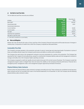#### **a) Net Debt to Cash Flow Ratio**

The net debt and cash flow amounts are as follows:

|                             | December 31, | December 31,             |
|-----------------------------|--------------|--------------------------|
| (\$000s)                    | 2021         | 2020                     |
| Bank debt <sup>(1)</sup>    | 162,945      | 252,255                  |
| Subordinated debt           | 47,268       | 28,161                   |
| Subordinated debentures     | 47,359       | $\overline{\phantom{m}}$ |
| <b>Current liabilities</b>  | 40,920       | 52,628                   |
| Current assets              | (31, 313)    | (17, 471)                |
| Net debt                    | 267,179      | 315,573                  |
| Cash flow from operations   | 96,103       | 32,073                   |
| Net debt to cash flow ratio | 2.8          | 9.8                      |

(1) Bank debt is classified as a current liability.

#### **b) Risks and Mitigation**

Market risk is the risk that the fair value or future cash flow of the Company's financial instruments will fluctuate because of changes in market prices. Components of market risk to which the Company is exposed are discussed below.

#### **Commodity Price Risk**

The Company's principal operation is the production and sale of crude oil, natural gas and natural gas liquids. Fluctuations in prices of these commodities directly impact the Company's performance and ability to continue with its dividends.

The Company has used various risk management contracts to set price parameters for a portion of its production. The Company has assumed the risk in respect of commodity prices, except for a small portion of physical delivery sales and risk management contracts to manage commodity risk on the Company's higher operating cost areas.

The Company is exposed to credit risk, liquidity risk and market risk as part of its normal course of business. The Company's overall risk management program seeks to mitigate these risks and reduce the volatility on the Company's financial performance. Financial risk is managed by senior management under a risk management program approved by the Board of Directors.

#### **Physical Delivery Sales Contracts**

Bonterra enters into physical delivery sales contracts to manage commodity price risk. These contracts are considered normal executory sales contracts and are not recorded at fair value in the financial statements. As of December 31, 2021, the Company has the following physical delivery sales contracts in place.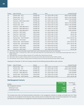| Product | Type of Contract                                 | Volume       | Term                         | Contract Price (\$)    |
|---------|--------------------------------------------------|--------------|------------------------------|------------------------|
| Oil     | Physical collar - WTI <sup>(1)</sup>             | 250 BBL/day  | Jan 1, 2022 to Mar 31, 2022  | 48.00 to 63.90 USD/BBL |
| Oil     | Physical collar - WTI <sup>(1)</sup>             | 500 BBL/day  | Apr 1, 2022 to Jun 30, 2022  | 48,00 to 75,50 USD/BBL |
| Oil     | Physical collar - WTI <sup>(1)</sup>             | 500 BBL/day  | Apr 1, 2022 to Jun 30, 2022  | 48,00 to 77,00 USD/BBL |
| Oil     | Fixed price - MSW Stream Index <sup>(2)</sup>    | 500 BBL/day  | Jan 1, 2022 to Mar 31, 2022  | 91.00 CAD/BBL          |
| Oil     | Physical collar - WTI <sup>(1)</sup>             | 500 BBL/day  | Jul 1, 2022 to Sept 30, 2022 | 48.00 to 77.20 USD/BBL |
| Oil     | Physical collar - WTI <sup>(1)</sup>             | 500 BBL/day  | Oct 1, 2022 to Dec 31, 2022  | 48.00 to 77.00 USD/BBL |
| Oil     | Fixed price - MSW differential(2)(3)             | 250 BBL/day  | Jan 1, 2022 to Mar 31, 2022  | (5.00) USD/BBL         |
| Oil     | Fixed price - MSW differential <sup>(2)(3)</sup> | 500 BBL/day  | Apr 1, 2022 to Jun 30, 2022  | (5.25) USD/BBL         |
| Oil     | Fixed price - MSW differential <sup>(2)(3)</sup> | 500 BBL/day  | Jul 1, 2022 to Sept 30, 2022 | (4.65) USD/BBL         |
| Gas     | Fixed Price - AECO Daily <sup>(4)</sup>          | 3,000 GJ/day | Jan 1, 2022 to Mar 31, 2022  | 3.10 GJ/ day           |
| Gas     | Fixed Price - AECO Daily <sup>(4)</sup>          | 2,500 GJ/day | Jan 1, 2022 to Mar 31, 2022  | 2.65 GJ/ day           |
| Gas     | Fixed Price - AECO Daily <sup>(4)</sup>          | 2,000 GJ/day | Jan 1, 2022 to Mar 31, 2022  | 2.70 GJ/ day           |
| Gas     | Physical collar - AECO Monthly <sup>(5)</sup>    | 5,000 GJ/day | Apr 1, 2022 to Jun 30, 2022  | 2.00 to 2.60 GJ/ day   |
| Gas     | Fixed Price - AECO Daily <sup>(4)</sup>          | 2,000 GJ/day | Apr 1, 2022 to Jun 30, 2022  | 2.40 GJ/ day           |
| Gas     | Physical collar - AECO Monthly <sup>(5)</sup>    | 5,000 GJ/day | Jul 1, 2022 to Sep 30, 2022  | 2.50 to 3.15 GJ/ day   |
| Gas     | Physical collar - AECO Monthly <sup>(5)</sup>    | 4,000 GJ/day | Oct 1, 2022 to Dec 31, 2022  | 3.00 to 3.63 GJ/ day   |
| Gas     | Fixed Price - AECO Daily <sup>(4)</sup>          | 2,500 GJ/day | Jul 1, 2022 to Sep 30, 2022  | 3.18 GJ/ day           |
| Gas     | Fixed Price - AECO Daily <sup>(4)</sup>          | 2,500 GJ/day | Nov 1, 2021 to Oct 31, 2022  | 4.10 GJ/ day           |
| Gas     | Fixed Price - AECO Daily <sup>(4)</sup>          | 5,000 GJ/day | Oct 1, 2022 to Dec 31, 2022  | 3.32 GJ/ day           |

(1) "WTI" refers to West Texas Intermediate, a grade of light sweet crude oil used as benchmark pricing in the United States.

(2) "MSW Stream index" or "Edmonton Par" refers to the mixed sweet blend that is the benchmark price for conventionally produced light sweet crude oil in Western Canada.

(3) "MSW differential" is the primary difference between WTI and MSW steam index benchmark pricing.

(4) "AECO Daily" refers to a grade or heating content of natural gas used as daily index benchmark pricing in Alberta, Canada.

(5) "AECO Monthly" refers to a grade or heating content of natural gas used as monthly index benchmark pricing in Alberta, Canada.

Subsequent to December 31, 2021, the Company entered into the following physical delivery sales contracts.

| Product | <b>Type of Contract</b>        | Volume         | Term                        | Contract Price (\$)    |
|---------|--------------------------------|----------------|-----------------------------|------------------------|
| Oil     | Physical collar - WTI          | 500 BBL/day    | Apr 1, 2022 to Jun 30, 2022 | 75,00 to 92,10 USD/BBL |
| Oil     | Physical collar - WTI          | 500 BBL/day    | Jan 1, 2023 to Mar 31, 2023 | 65.00 to 86.00 USD/BBL |
| Oil     | Fixed price - MSW differential | 500 BBL/day    | Apr 1, 2022 to Jun 30, 2022 | (2.75) USD/BBL         |
| Oil     | Fixed price - MSW differential | 500 BBL/day    | Jan 1, 2023 to Mar 31, 2023 | (4.50) USD/BBL         |
| Gas     | Physical collar - AECO Monthly | $2,500$ GJ/day | Apr 1, 2022 to Oct 31, 2022 | 3.50 to 4.15 GJ/ day   |
| Gas     | Physical collar - AECO Monthly | 5,000 GJ/day   | Oct 1, 2022 to Dec 31, 2022 | 4.00 to 4.55 GJ/ day   |

#### **Risk Management Contracts**

|                           | December 31, | December 31, |
|---------------------------|--------------|--------------|
| (\$000s)                  | 2021         | 2020         |
| Risk management contracts |              |              |
| Realized gain (loss)      | (17, 389)    | 402          |
| Unrealized gain (loss)    | (968)        | (3,465)      |
|                           | (18, 357)    | (3,063)      |

The Company also enters into financial derivative instruments or risk management contracts to manage commodity price risk. These contracts are not considered normal executory sales contracts and are recorded at fair value in the financial statements. The Company has entered into the following risk management contracts during the period ended December 31, 2021.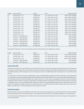| Product | Type of Contract               | Volume        | Term                         | Contract Price (\$)    |
|---------|--------------------------------|---------------|------------------------------|------------------------|
| Oil     | Financial collar - WTI         | 1,000 BBL/day | Jan 1, 2022 to Mar 31, 2022  | 48.00 to 64.60 USD/BBL |
| Oil     | Financial collar - WTI         | 500 BBL/day   | Jan 1, 2022 to Mar 31, 2022  | 48.00 to 68.00 USD/BBL |
| Oil     | Financial collar - WTI         | 500 BBL/day   | Jan 1, 2022 to Mar 31, 2022  | 48.00 to 68.50 USD/BBL |
| Oil     | Financial collar - WTI         | 500 BBL/day   | Apr 1, 2022 to Jun 30, 2022  | 48.00 to 68.90 USD/BBL |
| Oil     | Financial collar - WTI         | 500 BBL/day   | Apr 1, 2022 to Jun 30, 2022  | 48.00 to 73.10 USD/BBL |
| Oil     | Financial collar - WTI         | 300 BBL/day   | Apr 1, 2022 to Jun 30, 2022  | 48.00 to 79.75 USD/BBL |
| Oil     | Financial collar - WTI         | 1,000 BBL/day | Jul 1, 2022 to Sept 30, 2022 | 48.00 to 75.75 USD/BBL |
| Oil     | Financial collar - WTI         | 600 BBL/day   | Jul 1, 2022 to Sept 30, 2022 | 48.00 to 81.60 USD/BBL |
| Oil     | Financial collar - WTI         | 1,000 BBL/day | Oct 1, 2022 to Dec 31, 2022  | 60.00 to 81.25 USD/BBL |
| Oil     | Financial collar - WTI         | 500 BBL/day   | Oct 1, 2022 to Dec 31, 2022  | 48.00 to 81.25 USD/BBL |
| Oil     | Financial collar - WTI         | 200 BBL/day   | Oct 1, 2022 to Dec 31, 2022  | 55.00 to 78.45 USD/BBL |
| Oil     | Fixed price - MSW differential | 1,000 BBL/day | Jan 1, 2022 to Mar 31, 2022  | (6.60) CAD/BBL         |
| Oil     | Fixed price - MSW differential | 1,000 BBL/day | Apr 1, 2022 to Jun 30, 2022  | (6.55) CAD/BBL         |
| Oil     | Fixed price - MSW differential | 300 BBL/day   | Apr 1, 2022 to Jun 30, 2022  | (4.75) USD/BBL         |
| Oil     | Fixed price - MSW differential | 1,000 BBL/day | Jul 1, 2022 to Sept 30, 2022 | (5.90) CAD/BBL         |
| Oil     | Fixed price - MSW differential | 600 BBL/day   | Jul 1, 2022 to Sept 30, 2022 | (4.65) USD/BBL         |
| Oil     | Fixed price - MSW differential | 1,000 BBL/day | Oct 1, 2022 to Dec 31, 2022  | (6.05) CAD/BBL         |

Subsequent to December 31, 2021, the Company entered into the following risk management contracts.

| Product | <b>Type of Contract</b>        | Volume      | Term                        | Contract Price (\$)     |
|---------|--------------------------------|-------------|-----------------------------|-------------------------|
| Oil     | Financial collar - WTI         | 500 BBL/day | Jan 1, 2023 to Mar 31, 2023 | 60.00 to 88.00 USD/BBL  |
| Oil     | Financial collar - WTI         | 500 BBL/day | Jan 1, 2023 to Mar 31, 2023 | 60.00 to 89.45 USD/BBL  |
| Oil     | Financial collar - WTI         | 500 BBL/day | Jan 1, 2023 to Mar 31, 2023 | 65.00 to 100.00 USD/BBL |
| Oil     | Fixed price - MSW differential | 500 BBL/day | Jan 1, 2023 to Mar 31, 2023 | (4.40) USD/BBL          |
| Oil     | Fixed price - MSW differential | 500 BBL/day | Jan 1, 2023 to Mar 31, 2023 | (4.20) USD/BBL          |

#### **Interest Rate Risk**

Interest rate risk refers to the risk that the value of a financial instrument or cash flows associated with the instrument will fluctuate due to changes in market interest rates. Interest rate risk arises from interest bearing financial assets and liabilities that the Company uses. The principal exposure of the Company is on its borrowings which have a variable interest rate which gives rise to a cash flow interest rate risk.

As of December 31, 2021, the Company's debt facilities consist of a \$185,000,000 syndicated revolving credit facility, and a \$25,000,000 non-syndicated revolving credit facility, \$45,000,000 subordinated debt and \$59,000,000 in senior unsecured subordinated debentures. The borrowings under the total bank facilities are at bank prime plus or minus various percentages as well as by means of banker's acceptances ("BAs") within the Company's credit facility. Subordinated debt is at the greater of six percent and increases by one percent in subsequent years or the revolving bank facility rate plus one percent. The subordinated debentures are at a fixed interest rate of nine percent. The Company manages its exposure to interest rate risk on its floating interest rate debt through entering into various term lengths on its BAs but in no circumstances do the terms exceed six months.

#### **Sensitivity Analysis**

Based on historic movements and volatilities in the interest rate markets and management's current assessment of the financial markets, the Company believes that a one percent variation in the Canadian prime interest rate is reasonably possible over a 12 month period.

A one percent increase (decrease) in the Canadian prime rate would decrease (increase) both annual net earnings and comprehensive income by \$1,618,000.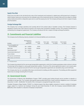#### **Equity Price Risk**

Equity price risk refers to the risk that the fair value of the investments and investment in related party will fluctuate due to changes in equity markets. Equity price risk arises from the realizable value of the investments that the Company holds which are subject to variable equity market prices which on disposition gives rise to a cash flow equity price risk. The Company will assume full risk in respect of equity price fluctuations.

#### **Foreign Exchange Risk**

The Company has no foreign operations and currently sells all of its product sales in Canadian currency. The Company however is exposed to currency risk in that crude oil is priced in US currency, then converted to Canadian currency. The Company currently has no outstanding risk management agreements. The Company will assume full risk in respect of foreign exchange fluctuations.

# **21. Commitments and Financial Liabilities**

The Company has the following maturity schedule for its financial liabilities and commitments:

|                                             | Recognized on     |           |             |              |              |         |
|---------------------------------------------|-------------------|-----------|-------------|--------------|--------------|---------|
|                                             | Financial         | Less than | Over 1 year | Over 3 years | Over 5 years |         |
| (\$000s)                                    | <b>Statements</b> | 1 year    | to 3 years  | to 5 years   | to 7 years   | Total   |
| Accounts payable and<br>accrued liabilities | Yes - Liability   | 35,194    |             |              |              | 35,194  |
| <b>Bank Debt</b>                            | Yes - Liability   | 162,945   |             |              |              | 162,945 |
| Subordinated debt <sup>(1)</sup>            | Yes - Liability   |           | 47,029      |              |              | 47,029  |
| Subordinated debentures <sup>(1)</sup>      | Yes - Liability   |           |             | 59,000       |              | 59,000  |
| Future interest                             | <b>No</b>         | 8,191     | 17,263      | 4,204        |              | 29,657  |
| Firm service commitments                    | <b>No</b>         | 489       | 805         | 220          | 15           | 1,529   |
| Office lease commitments                    | <b>No</b>         | 526       | 463         | 498          | 988          | 2,475   |
| Total                                       |                   | 207,345   | 65,560      | 63,922       | 1,003        | 337,829 |

(1) Principal amount.

The Company has entered into firm service gas transportation agreements in which the Company guarantees certain minimum volumes of natural gas will be shipped on various gas transportation systems. The terms of the various agreements expire in one to seven years. The future minimum payment amounts for the firm service gas transportation agreements are calculated using current tariff rates.

The Company also has non-cancellable office lease commitments for building and office equipment. The building and office equipment leases have an average remaining life of 4.9 years.

# **22. Government Grants**

The Government of Alberta's Site Rehabilitation Program ("SRP") provides grant funding through service providers to abandon or remediate oil and gas sites. The Company derecognized approximately \$5,901,000 of asset retirement obligations as an in-kind grant (December 31, 2020 – \$1,689,000). The benefit of the in-kind grant is recognized through other income.

Canadian Emergency Wage Subsidy ("CEWS") is a federal program that allows eligible companies to receive a subsidy of employee wages, subject to a maximum per employee. During the year ended December 31, 2021, the Company received \$159,000 (2020 – \$895,000), which resulted in a reduction of employee compensation.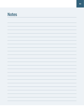# **Notes**

| -                        |
|--------------------------|
|                          |
| -                        |
| $\overline{\phantom{a}}$ |
| -                        |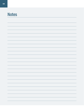# **Notes**

|  | $\overline{\phantom{a}}$ |
|--|--------------------------|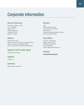# **Corporate Information**

# **Board of Directors**

D. Michael G. Stewart – Chair John J. Campbell George F. Fink Stacey E. McDonald Jacqueline R. Ricci Rodger A. Tourigny

# **Officers**

George F. Fink, CEO Robb D. Thompson, CFO and Corporate Secretary Adrian Neumann, Chief Operating Officer Brad A. Curtis, Senior VP, Business Development

# **Registrar and Transfer Agent**

Odyssey Trust Company

# **Auditors**

Deloitte LLP

# **Solicitors**

Borden Ladner Gervais LLP

## **Bankers**

CIBC National Bank of Canada The Toronto-Dominion Bank ATB Financial Business Development Bank of Canada Export Development Bank

# **Head Office**

901, 1015 - 4<sup>th</sup> Street SW Calgary, Alberta T2R 1J4 Telephone: 403.262.5307 Fax: 403.265.7488 Email: info@bonterraenergy.com

# **Website**

**www.bonterraenergy.com**